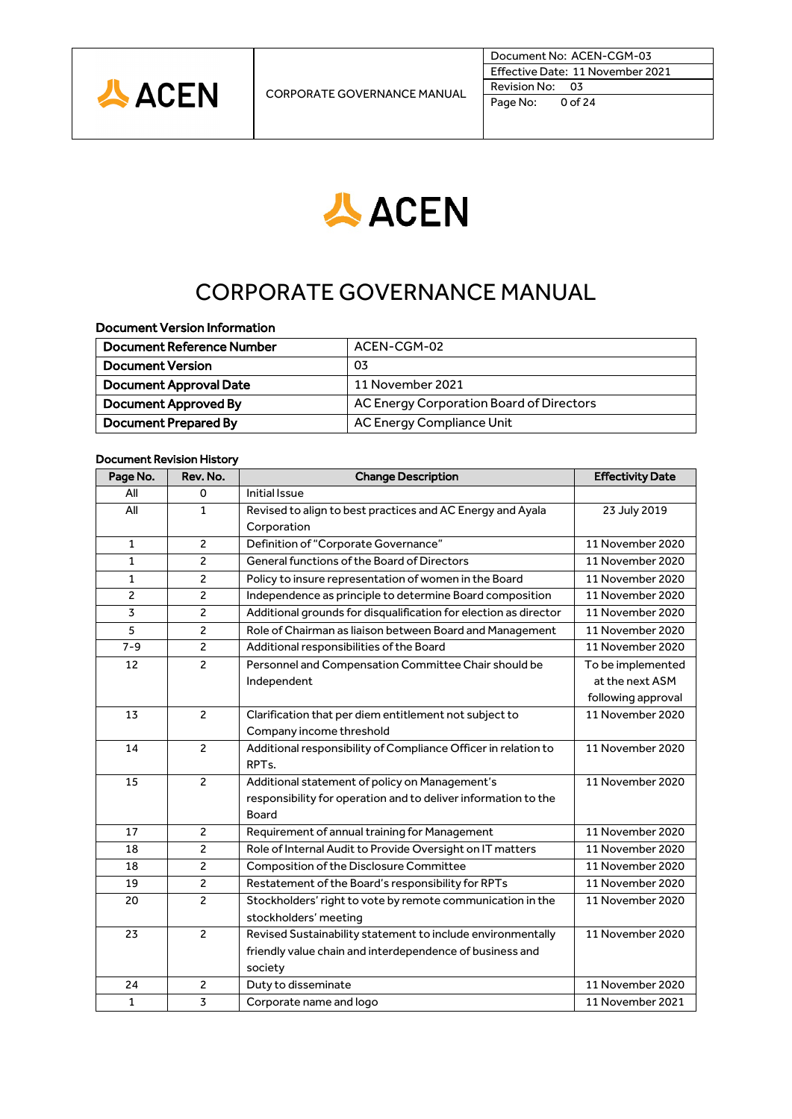

Document No: ACEN-CGM-03 Effective Date: 11 November 2021 Revision No: 03 Page No: 0 of 24



# CORPORATE GOVERNANCE MANUAL

# Document Version Information

| Document Reference Number     | ACEN-CGM-02                              |
|-------------------------------|------------------------------------------|
| <b>Document Version</b>       | 03                                       |
| <b>Document Approval Date</b> | 11 November 2021                         |
| Document Approved By          | AC Energy Corporation Board of Directors |
| Document Prepared By          | AC Energy Compliance Unit                |

#### Document Revision History

| Page No.       | Rev. No.       | <b>Change Description</b>                                        | <b>Effectivity Date</b> |
|----------------|----------------|------------------------------------------------------------------|-------------------------|
| All            | 0              | <b>Initial Issue</b>                                             |                         |
| All            | $\mathbf{1}$   | Revised to align to best practices and AC Energy and Ayala       | 23 July 2019            |
|                |                | Corporation                                                      |                         |
| $\mathbf{1}$   | $\overline{2}$ | Definition of "Corporate Governance"                             | 11 November 2020        |
| 1              | $\overline{c}$ | General functions of the Board of Directors                      | 11 November 2020        |
| 1              | $\overline{c}$ | Policy to insure representation of women in the Board            | 11 November 2020        |
| $\overline{2}$ | $\overline{2}$ | Independence as principle to determine Board composition         | 11 November 2020        |
| 3              | $\overline{c}$ | Additional grounds for disqualification for election as director | 11 November 2020        |
| 5              | $\overline{2}$ | Role of Chairman as liaison between Board and Management         | 11 November 2020        |
| $7 - 9$        | 2              | Additional responsibilities of the Board                         | 11 November 2020        |
| 12             | $\overline{c}$ | Personnel and Compensation Committee Chair should be             | To be implemented       |
|                |                | Independent                                                      | at the next ASM         |
|                |                |                                                                  | following approval      |
| 13             | $\mathcal{P}$  | Clarification that per diem entitlement not subject to           | 11 November 2020        |
|                |                | Company income threshold                                         |                         |
| 14             | $\overline{c}$ | Additional responsibility of Compliance Officer in relation to   | 11 November 2020        |
|                |                | RPT <sub>s</sub> .                                               |                         |
| 15             | $\overline{2}$ | Additional statement of policy on Management's                   | 11 November 2020        |
|                |                | responsibility for operation and to deliver information to the   |                         |
|                |                | Board                                                            |                         |
| 17             | $\overline{c}$ | Requirement of annual training for Management                    | 11 November 2020        |
| 18             | 2              | Role of Internal Audit to Provide Oversight on IT matters        | 11 November 2020        |
| 18             | $\overline{c}$ | Composition of the Disclosure Committee                          | 11 November 2020        |
| 19             | $\overline{c}$ | Restatement of the Board's responsibility for RPTs               | 11 November 2020        |
| 20             | $\overline{c}$ | Stockholders' right to vote by remote communication in the       | 11 November 2020        |
|                |                | stockholders' meeting                                            |                         |
| 23             | $\overline{2}$ | Revised Sustainability statement to include environmentally      | 11 November 2020        |
|                |                | friendly value chain and interdependence of business and         |                         |
|                |                | society                                                          |                         |
| 24             | $\overline{c}$ | Duty to disseminate                                              | 11 November 2020        |
| $\mathbf{1}$   | 3              | Corporate name and logo                                          | 11 November 2021        |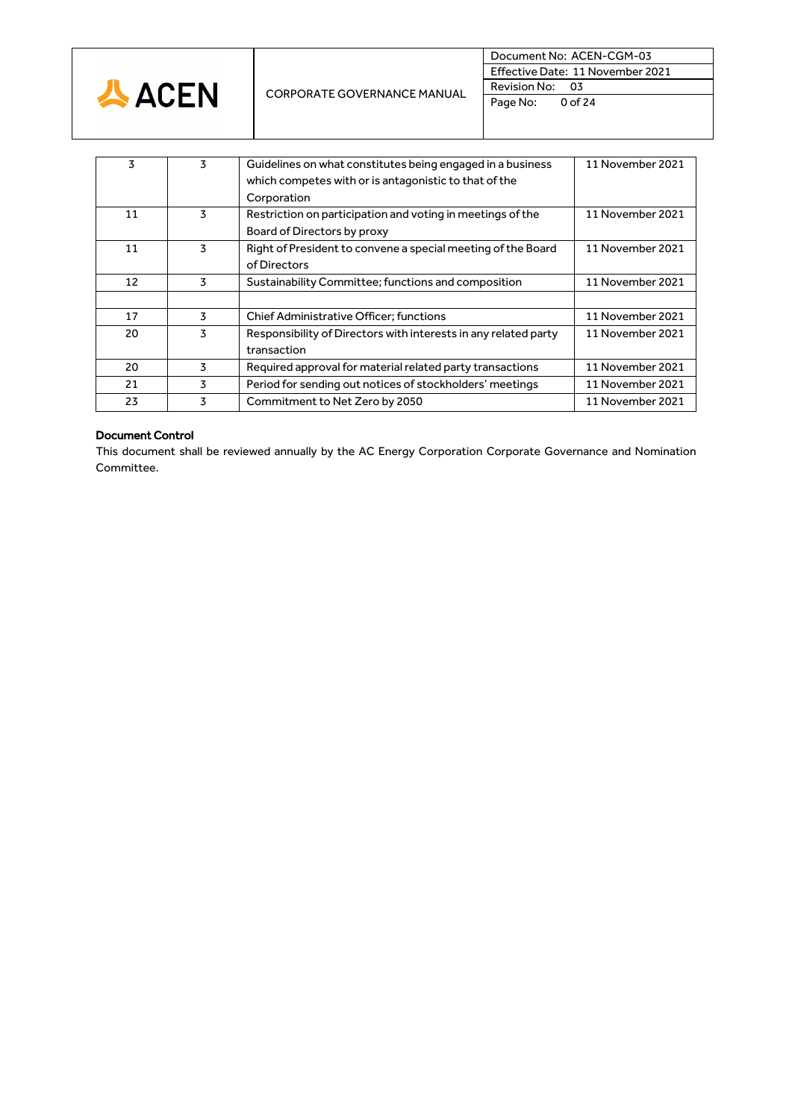

| 3  | 3 | Guidelines on what constitutes being engaged in a business<br>which competes with or is antagonistic to that of the<br>Corporation | 11 November 2021 |
|----|---|------------------------------------------------------------------------------------------------------------------------------------|------------------|
| 11 | 3 | Restriction on participation and voting in meetings of the<br>Board of Directors by proxy                                          | 11 November 2021 |
| 11 | 3 | Right of President to convene a special meeting of the Board<br>of Directors                                                       | 11 November 2021 |
| 12 | 3 | Sustainability Committee; functions and composition                                                                                | 11 November 2021 |
|    |   |                                                                                                                                    |                  |
| 17 | 3 | <b>Chief Administrative Officer; functions</b>                                                                                     | 11 November 2021 |
| 20 | 3 | Responsibility of Directors with interests in any related party<br>transaction                                                     | 11 November 2021 |
| 20 | 3 | Required approval for material related party transactions                                                                          | 11 November 2021 |
| 21 | 3 | Period for sending out notices of stockholders' meetings                                                                           | 11 November 2021 |
| 23 | 3 | Commitment to Net Zero by 2050                                                                                                     | 11 November 2021 |

# Document Control

This document shall be reviewed annually by the AC Energy Corporation Corporate Governance and Nomination Committee.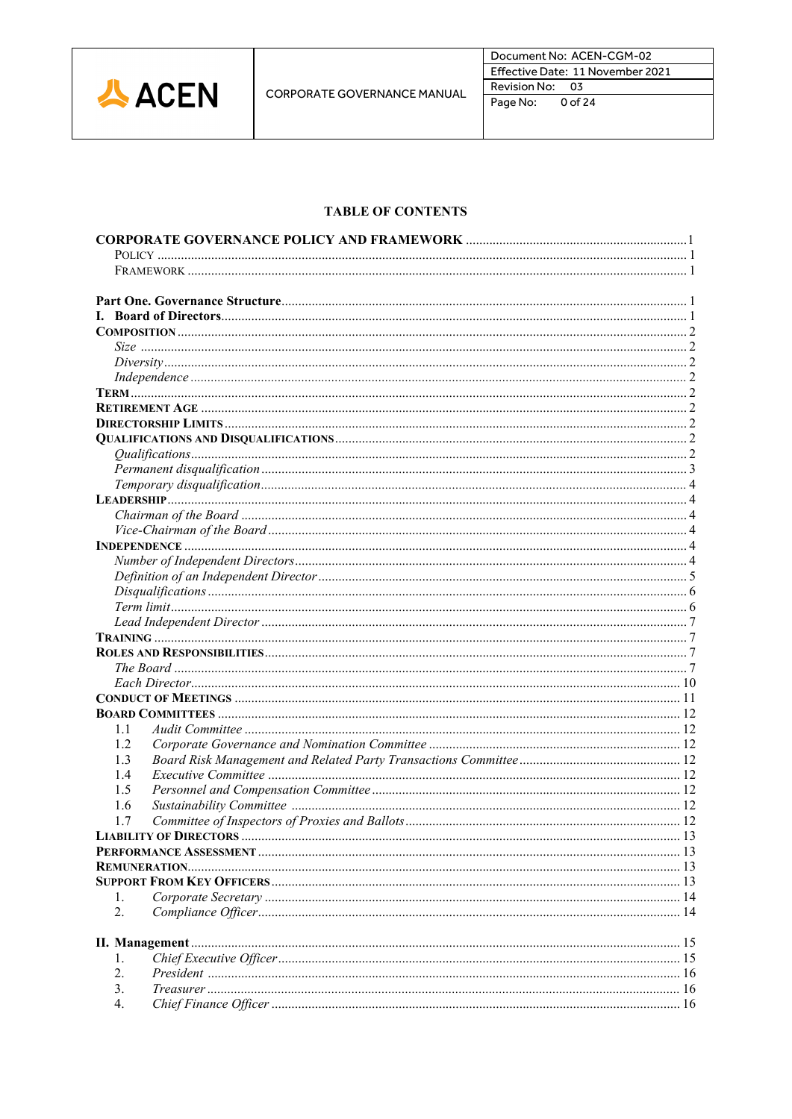

# **TABLE OF CONTENTS**

| 1.1 |  |
|-----|--|
| 1.2 |  |
| 1.3 |  |
| 1.4 |  |
| 1.5 |  |
| 1.6 |  |
| 1.7 |  |
|     |  |
|     |  |
|     |  |
|     |  |
| 1.  |  |
| 2.  |  |
|     |  |
|     |  |
| 1.  |  |
| 2.  |  |
| 3.  |  |
| 4.  |  |
|     |  |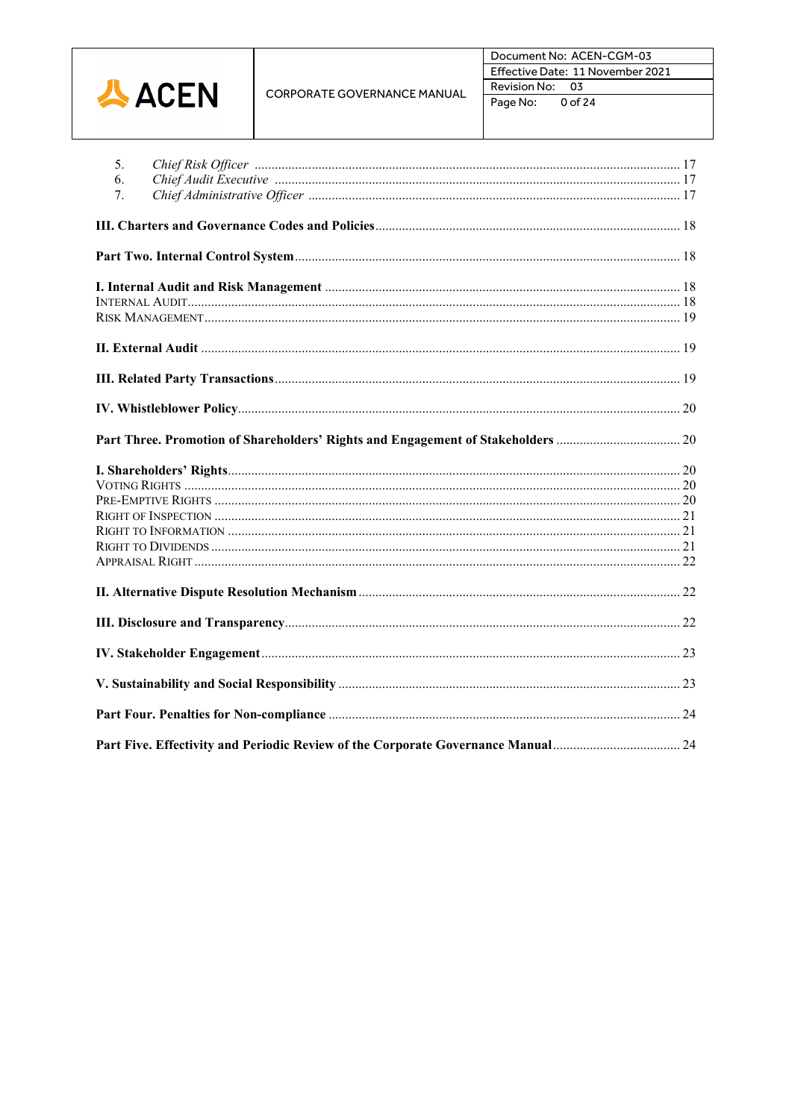|              |                                    | Document No: ACEN-CGM-03<br>Effective Date: 11 November 2021 |
|--------------|------------------------------------|--------------------------------------------------------------|
| <b>公ACEN</b> | <b>CORPORATE GOVERNANCE MANUAL</b> | Revision No:<br>- 03<br>0 of 24<br>Page No:                  |

| 5 <sub>1</sub><br>6.<br>7.                                                       |  |
|----------------------------------------------------------------------------------|--|
|                                                                                  |  |
|                                                                                  |  |
|                                                                                  |  |
|                                                                                  |  |
|                                                                                  |  |
|                                                                                  |  |
|                                                                                  |  |
|                                                                                  |  |
|                                                                                  |  |
|                                                                                  |  |
|                                                                                  |  |
|                                                                                  |  |
|                                                                                  |  |
| Part Five. Effectivity and Periodic Review of the Corporate Governance Manual 24 |  |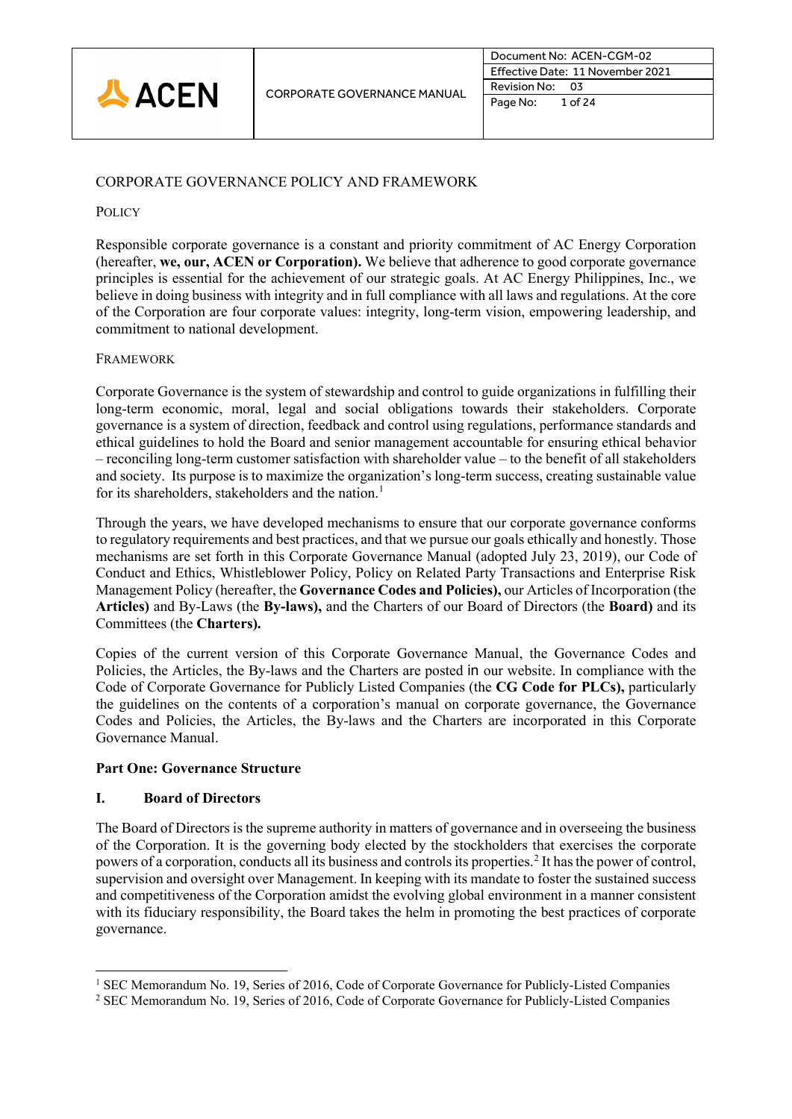

# CORPORATE GOVERNANCE POLICY AND FRAMEWORK

# **POLICY**

Responsible corporate governance is a constant and priority commitment of AC Energy Corporation (hereafter, **we, our, ACEN or Corporation).** We believe that adherence to good corporate governance principles is essential for the achievement of our strategic goals. At AC Energy Philippines, Inc., we believe in doing business with integrity and in full compliance with all laws and regulations. At the core of the Corporation are four corporate values: integrity, long-term vision, empowering leadership, and commitment to national development.

# **FRAMEWORK**

Corporate Governance is the system of stewardship and control to guide organizations in fulfilling their long-term economic, moral, legal and social obligations towards their stakeholders. Corporate governance is a system of direction, feedback and control using regulations, performance standards and ethical guidelines to hold the Board and senior management accountable for ensuring ethical behavior – reconciling long-term customer satisfaction with shareholder value – to the benefit of all stakeholders and society. Its purpose is to maximize the organization's long-term success, creating sustainable value for its shareholders, stakeholders and the nation.<sup>[1](#page-4-0)</sup>

Through the years, we have developed mechanisms to ensure that our corporate governance conforms to regulatory requirements and best practices, and that we pursue our goals ethically and honestly. Those mechanisms are set forth in this Corporate Governance Manual (adopted July 23, 2019), our Code of Conduct and Ethics, Whistleblower Policy, Policy on Related Party Transactions and Enterprise Risk Management Policy (hereafter, the **Governance Codes and Policies),** our Articles of Incorporation (the **Articles)** and By-Laws (the **By-laws),** and the Charters of our Board of Directors (the **Board)** and its Committees (the **Charters).**

Copies of the current version of this Corporate Governance Manual, the Governance Codes and Policies, the Articles, the By-laws and the Charters are posted in our website. In compliance with the Code of Corporate Governance for Publicly Listed Companies (the **CG Code for PLCs),** particularly the guidelines on the contents of a corporation's manual on corporate governance, the Governance Codes and Policies, the Articles, the By-laws and the Charters are incorporated in this Corporate Governance Manual.

# **Part One: Governance Structure**

# **I. Board of Directors**

The Board of Directors is the supreme authority in matters of governance and in overseeing the business of the Corporation. It is the governing body elected by the stockholders that exercises the corporate powers of a corporation, conducts all its business and controls its properties.[2](#page-4-1) It has the power of control, supervision and oversight over Management. In keeping with its mandate to foster the sustained success and competitiveness of the Corporation amidst the evolving global environment in a manner consistent with its fiduciary responsibility, the Board takes the helm in promoting the best practices of corporate governance.

<span id="page-4-0"></span><sup>&</sup>lt;sup>1</sup> SEC Memorandum No. 19, Series of 2016, Code of Corporate Governance for Publicly-Listed Companies

<span id="page-4-1"></span><sup>2</sup> SEC Memorandum No. 19, Series of 2016, Code of Corporate Governance for Publicly-Listed Companies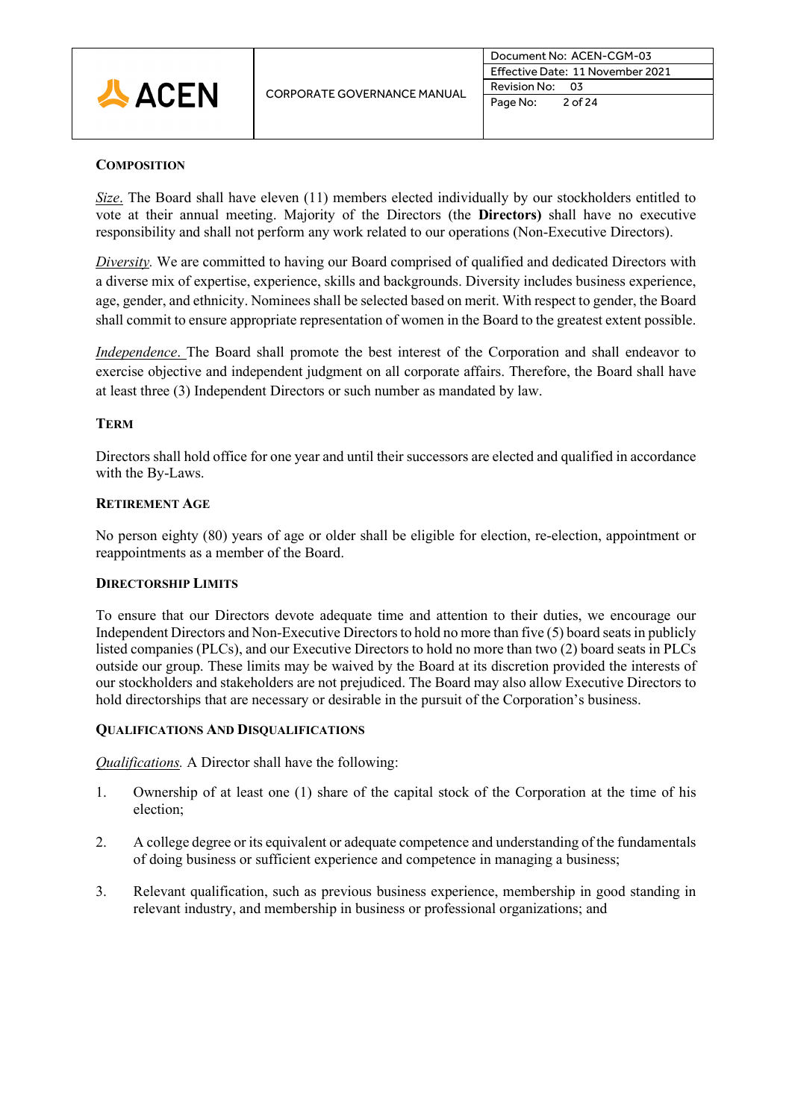

# **COMPOSITION**

*Size*. The Board shall have eleven (11) members elected individually by our stockholders entitled to vote at their annual meeting. Majority of the Directors (the **Directors)** shall have no executive responsibility and shall not perform any work related to our operations (Non-Executive Directors).

*Diversity.* We are committed to having our Board comprised of qualified and dedicated Directors with a diverse mix of expertise, experience, skills and backgrounds. Diversity includes business experience, age, gender, and ethnicity. Nominees shall be selected based on merit. With respect to gender, the Board shall commit to ensure appropriate representation of women in the Board to the greatest extent possible.

*Independence*. The Board shall promote the best interest of the Corporation and shall endeavor to exercise objective and independent judgment on all corporate affairs. Therefore, the Board shall have at least three (3) Independent Directors or such number as mandated by law.

# **TERM**

Directors shall hold office for one year and until their successors are elected and qualified in accordance with the By-Laws.

# **RETIREMENT AGE**

No person eighty (80) years of age or older shall be eligible for election, re-election, appointment or reappointments as a member of the Board.

# **DIRECTORSHIP LIMITS**

To ensure that our Directors devote adequate time and attention to their duties, we encourage our Independent Directors and Non-Executive Directors to hold no more than five (5) board seats in publicly listed companies (PLCs), and our Executive Directors to hold no more than two (2) board seats in PLCs outside our group. These limits may be waived by the Board at its discretion provided the interests of our stockholders and stakeholders are not prejudiced. The Board may also allow Executive Directors to hold directorships that are necessary or desirable in the pursuit of the Corporation's business.

# **QUALIFICATIONS AND DISQUALIFICATIONS**

*Qualifications.* A Director shall have the following:

- 1. Ownership of at least one (1) share of the capital stock of the Corporation at the time of his election;
- 2. A college degree or its equivalent or adequate competence and understanding of the fundamentals of doing business or sufficient experience and competence in managing a business;
- 3. Relevant qualification, such as previous business experience, membership in good standing in relevant industry, and membership in business or professional organizations; and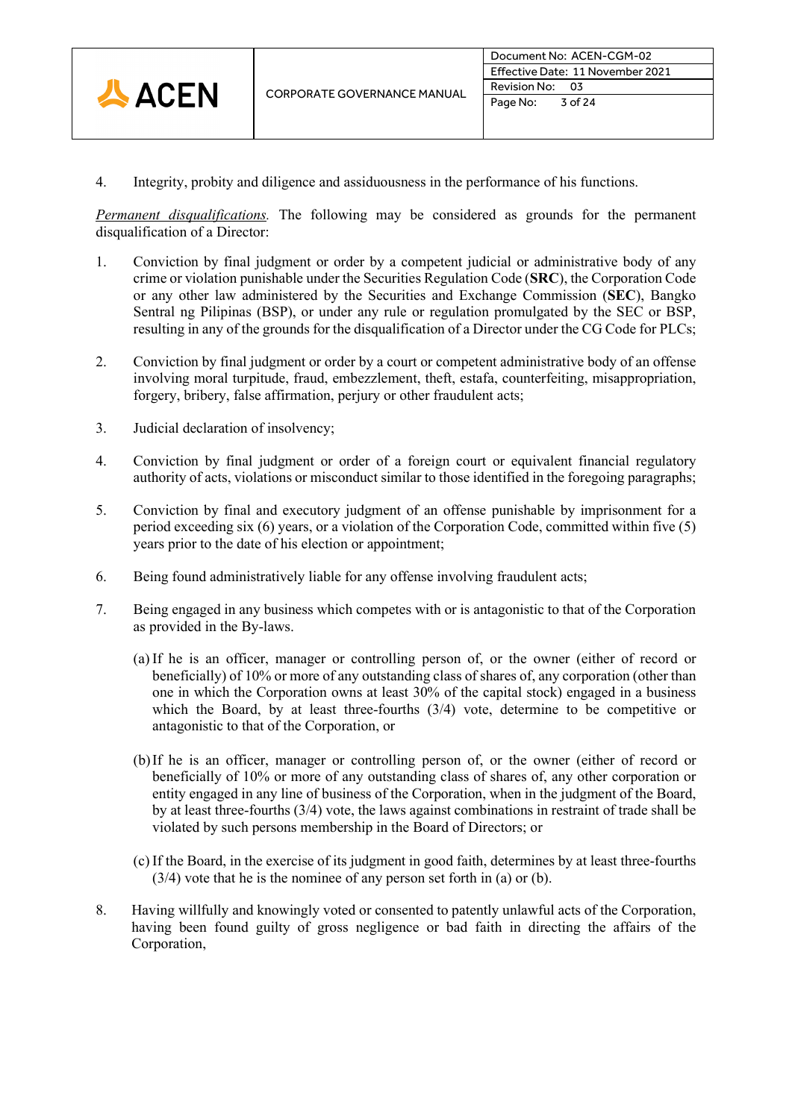

4. Integrity, probity and diligence and assiduousness in the performance of his functions.

*Permanent disqualifications.* The following may be considered as grounds for the permanent disqualification of a Director:

- 1. Conviction by final judgment or order by a competent judicial or administrative body of any crime or violation punishable under the Securities Regulation Code (**SRC**), the Corporation Code or any other law administered by the Securities and Exchange Commission (**SEC**), Bangko Sentral ng Pilipinas (BSP), or under any rule or regulation promulgated by the SEC or BSP, resulting in any of the grounds for the disqualification of a Director under the CG Code for PLCs;
- 2. Conviction by final judgment or order by a court or competent administrative body of an offense involving moral turpitude, fraud, embezzlement, theft, estafa, counterfeiting, misappropriation, forgery, bribery, false affirmation, perjury or other fraudulent acts;
- 3. Judicial declaration of insolvency;
- 4. Conviction by final judgment or order of a foreign court or equivalent financial regulatory authority of acts, violations or misconduct similar to those identified in the foregoing paragraphs;
- 5. Conviction by final and executory judgment of an offense punishable by imprisonment for a period exceeding six (6) years, or a violation of the Corporation Code, committed within five (5) years prior to the date of his election or appointment;
- 6. Being found administratively liable for any offense involving fraudulent acts;
- 7. Being engaged in any business which competes with or is antagonistic to that of the Corporation as provided in the By-laws.
	- (a) If he is an officer, manager or controlling person of, or the owner (either of record or beneficially) of 10% or more of any outstanding class of shares of, any corporation (other than one in which the Corporation owns at least 30% of the capital stock) engaged in a business which the Board, by at least three-fourths  $(3/4)$  vote, determine to be competitive or antagonistic to that of the Corporation, or
	- (b)If he is an officer, manager or controlling person of, or the owner (either of record or beneficially of 10% or more of any outstanding class of shares of, any other corporation or entity engaged in any line of business of the Corporation, when in the judgment of the Board, by at least three-fourths (3/4) vote, the laws against combinations in restraint of trade shall be violated by such persons membership in the Board of Directors; or
	- (c) If the Board, in the exercise of its judgment in good faith, determines by at least three-fourths (3/4) vote that he is the nominee of any person set forth in (a) or (b).
- 8. Having willfully and knowingly voted or consented to patently unlawful acts of the Corporation, having been found guilty of gross negligence or bad faith in directing the affairs of the Corporation,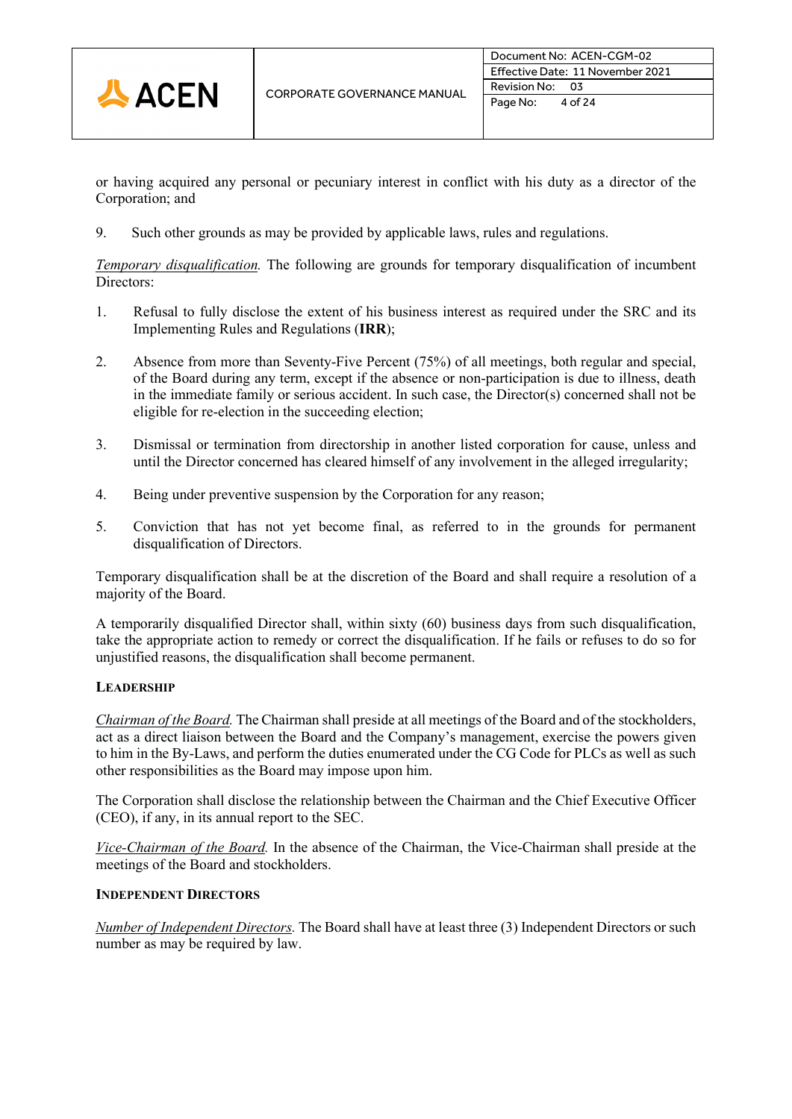

or having acquired any personal or pecuniary interest in conflict with his duty as a director of the Corporation; and

9. Such other grounds as may be provided by applicable laws, rules and regulations.

*Temporary disqualification.* The following are grounds for temporary disqualification of incumbent Directors:

- 1. Refusal to fully disclose the extent of his business interest as required under the SRC and its Implementing Rules and Regulations (**IRR**);
- 2. Absence from more than Seventy-Five Percent (75%) of all meetings, both regular and special, of the Board during any term, except if the absence or non-participation is due to illness, death in the immediate family or serious accident. In such case, the Director(s) concerned shall not be eligible for re-election in the succeeding election;
- 3. Dismissal or termination from directorship in another listed corporation for cause, unless and until the Director concerned has cleared himself of any involvement in the alleged irregularity;
- 4. Being under preventive suspension by the Corporation for any reason;
- 5. Conviction that has not yet become final, as referred to in the grounds for permanent disqualification of Directors.

Temporary disqualification shall be at the discretion of the Board and shall require a resolution of a majority of the Board.

A temporarily disqualified Director shall, within sixty (60) business days from such disqualification, take the appropriate action to remedy or correct the disqualification. If he fails or refuses to do so for unjustified reasons, the disqualification shall become permanent.

# **LEADERSHIP**

*Chairman of the Board.* The Chairman shall preside at all meetings of the Board and of the stockholders, act as a direct liaison between the Board and the Company's management, exercise the powers given to him in the By-Laws, and perform the duties enumerated under the CG Code for PLCs as well as such other responsibilities as the Board may impose upon him.

The Corporation shall disclose the relationship between the Chairman and the Chief Executive Officer (CEO), if any, in its annual report to the SEC.

*Vice-Chairman of the Board.* In the absence of the Chairman, the Vice-Chairman shall preside at the meetings of the Board and stockholders.

# **INDEPENDENT DIRECTORS**

*Number of Independent Directors.* The Board shall have at least three (3) Independent Directors or such number as may be required by law.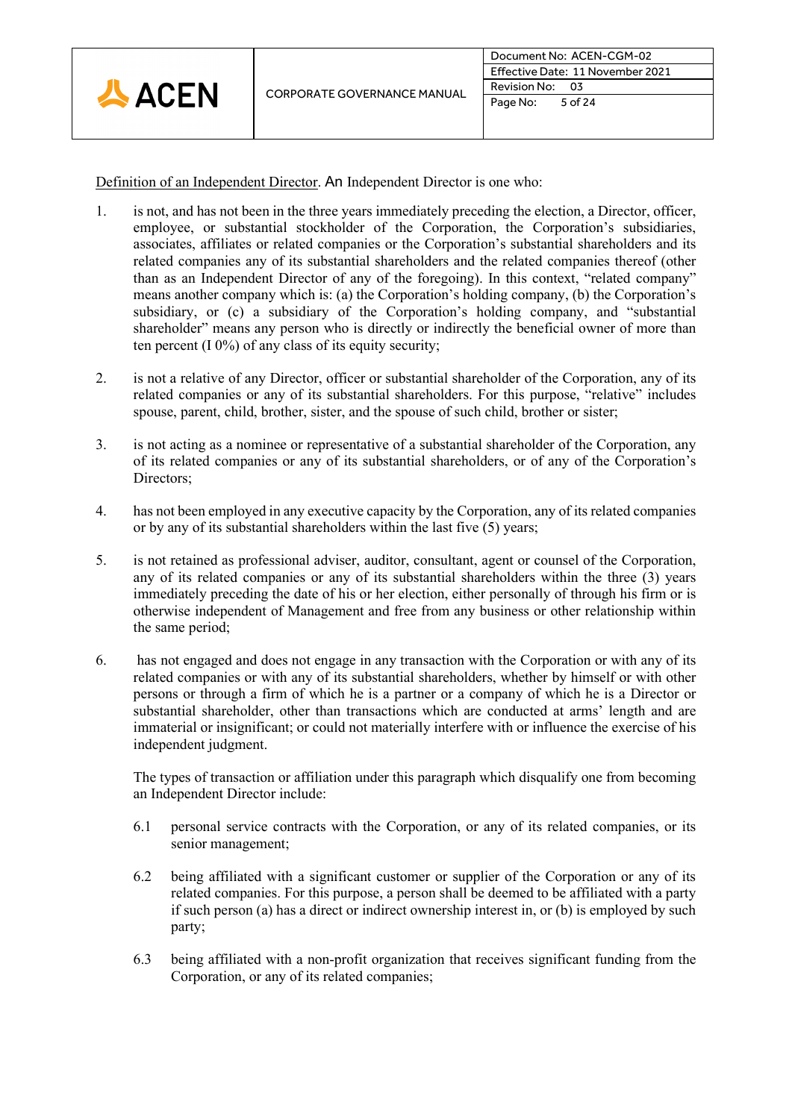

Definition of an Independent Director. An Independent Director is one who:

- 1. is not, and has not been in the three years immediately preceding the election, a Director, officer, employee, or substantial stockholder of the Corporation, the Corporation's subsidiaries, associates, affiliates or related companies or the Corporation's substantial shareholders and its related companies any of its substantial shareholders and the related companies thereof (other than as an Independent Director of any of the foregoing). In this context, "related company" means another company which is: (a) the Corporation's holding company, (b) the Corporation's subsidiary, or (c) a subsidiary of the Corporation's holding company, and "substantial shareholder" means any person who is directly or indirectly the beneficial owner of more than ten percent  $(10\%)$  of any class of its equity security;
- 2. is not a relative of any Director, officer or substantial shareholder of the Corporation, any of its related companies or any of its substantial shareholders. For this purpose, "relative" includes spouse, parent, child, brother, sister, and the spouse of such child, brother or sister;
- 3. is not acting as a nominee or representative of a substantial shareholder of the Corporation, any of its related companies or any of its substantial shareholders, or of any of the Corporation's Directors:
- 4. has not been employed in any executive capacity by the Corporation, any of its related companies or by any of its substantial shareholders within the last five (5) years;
- 5. is not retained as professional adviser, auditor, consultant, agent or counsel of the Corporation, any of its related companies or any of its substantial shareholders within the three (3) years immediately preceding the date of his or her election, either personally of through his firm or is otherwise independent of Management and free from any business or other relationship within the same period;
- 6. has not engaged and does not engage in any transaction with the Corporation or with any of its related companies or with any of its substantial shareholders, whether by himself or with other persons or through a firm of which he is a partner or a company of which he is a Director or substantial shareholder, other than transactions which are conducted at arms' length and are immaterial or insignificant; or could not materially interfere with or influence the exercise of his independent judgment.

The types of transaction or affiliation under this paragraph which disqualify one from becoming an Independent Director include:

- 6.1 personal service contracts with the Corporation, or any of its related companies, or its senior management;
- 6.2 being affiliated with a significant customer or supplier of the Corporation or any of its related companies. For this purpose, a person shall be deemed to be affiliated with a party if such person (a) has a direct or indirect ownership interest in, or (b) is employed by such party;
- 6.3 being affiliated with a non-profit organization that receives significant funding from the Corporation, or any of its related companies;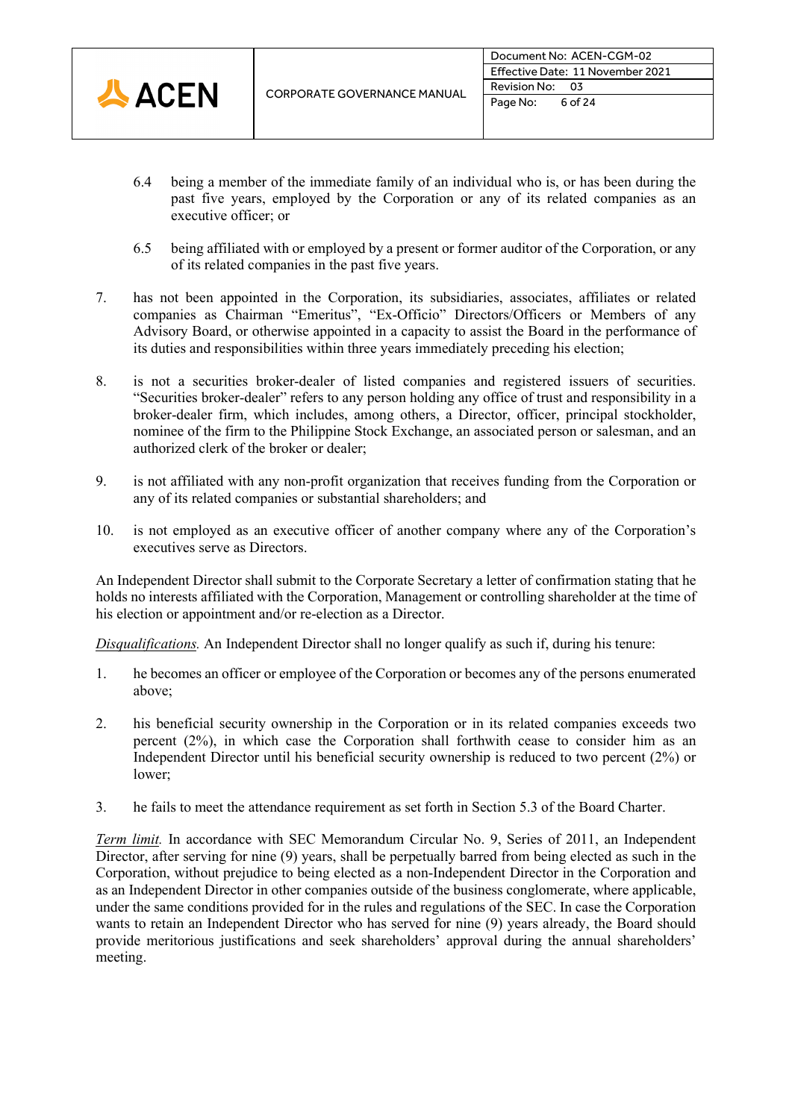

- 6.4 being a member of the immediate family of an individual who is, or has been during the past five years, employed by the Corporation or any of its related companies as an executive officer; or
- 6.5 being affiliated with or employed by a present or former auditor of the Corporation, or any of its related companies in the past five years.
- 7. has not been appointed in the Corporation, its subsidiaries, associates, affiliates or related companies as Chairman "Emeritus", "Ex-Officio" Directors/Officers or Members of any Advisory Board, or otherwise appointed in a capacity to assist the Board in the performance of its duties and responsibilities within three years immediately preceding his election;
- 8. is not a securities broker-dealer of listed companies and registered issuers of securities. "Securities broker-dealer" refers to any person holding any office of trust and responsibility in a broker-dealer firm, which includes, among others, a Director, officer, principal stockholder, nominee of the firm to the Philippine Stock Exchange, an associated person or salesman, and an authorized clerk of the broker or dealer;
- 9. is not affiliated with any non-profit organization that receives funding from the Corporation or any of its related companies or substantial shareholders; and
- 10. is not employed as an executive officer of another company where any of the Corporation's executives serve as Directors.

An Independent Director shall submit to the Corporate Secretary a letter of confirmation stating that he holds no interests affiliated with the Corporation, Management or controlling shareholder at the time of his election or appointment and/or re-election as a Director.

*Disqualifications.* An Independent Director shall no longer qualify as such if, during his tenure:

- 1. he becomes an officer or employee of the Corporation or becomes any of the persons enumerated above;
- 2. his beneficial security ownership in the Corporation or in its related companies exceeds two percent (2%), in which case the Corporation shall forthwith cease to consider him as an Independent Director until his beneficial security ownership is reduced to two percent (2%) or lower;
- 3. he fails to meet the attendance requirement as set forth in Section 5.3 of the Board Charter.

*Term limit.* In accordance with SEC Memorandum Circular No. 9, Series of 2011, an Independent Director, after serving for nine (9) years, shall be perpetually barred from being elected as such in the Corporation, without prejudice to being elected as a non-Independent Director in the Corporation and as an Independent Director in other companies outside of the business conglomerate, where applicable, under the same conditions provided for in the rules and regulations of the SEC. In case the Corporation wants to retain an Independent Director who has served for nine (9) years already, the Board should provide meritorious justifications and seek shareholders' approval during the annual shareholders' meeting.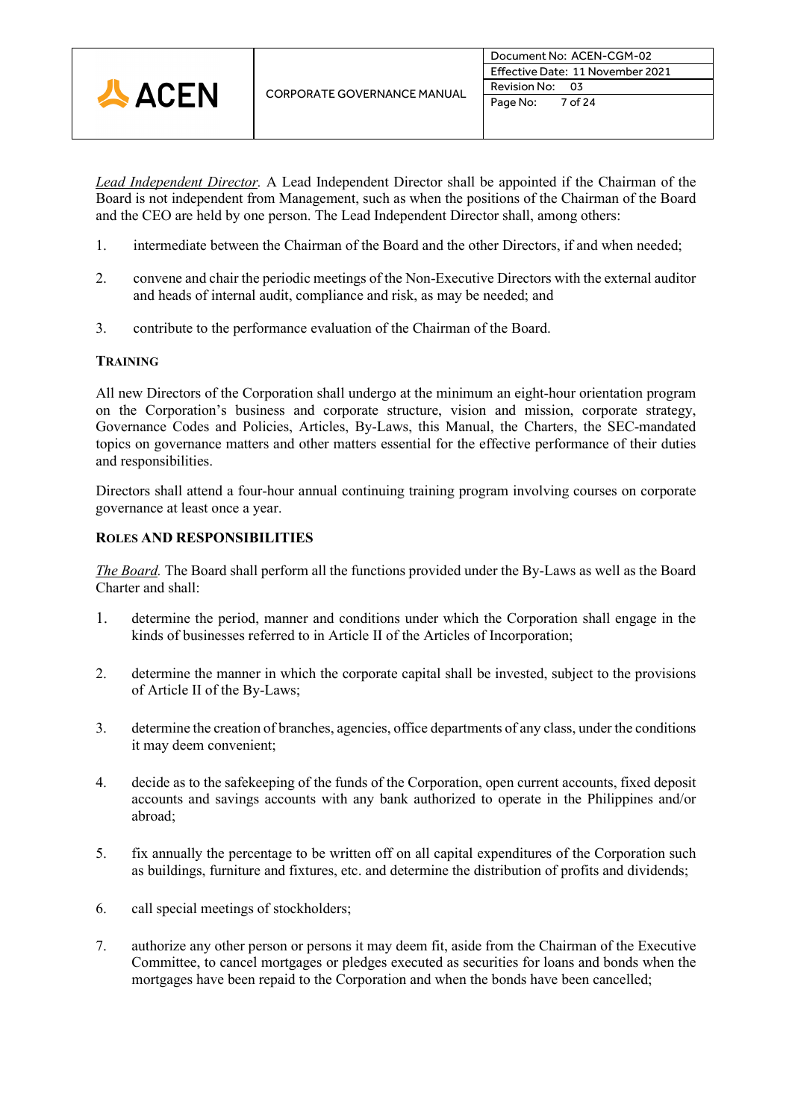

*Lead Independent Director.* A Lead Independent Director shall be appointed if the Chairman of the Board is not independent from Management, such as when the positions of the Chairman of the Board and the CEO are held by one person. The Lead Independent Director shall, among others:

- 1. intermediate between the Chairman of the Board and the other Directors, if and when needed;
- 2. convene and chair the periodic meetings of the Non-Executive Directors with the external auditor and heads of internal audit, compliance and risk, as may be needed; and
- 3. contribute to the performance evaluation of the Chairman of the Board.

# **TRAINING**

All new Directors of the Corporation shall undergo at the minimum an eight-hour orientation program on the Corporation's business and corporate structure, vision and mission, corporate strategy, Governance Codes and Policies, Articles, By-Laws, this Manual, the Charters, the SEC-mandated topics on governance matters and other matters essential for the effective performance of their duties and responsibilities.

Directors shall attend a four-hour annual continuing training program involving courses on corporate governance at least once a year.

# **ROLES AND RESPONSIBILITIES**

*The Board.* The Board shall perform all the functions provided under the By-Laws as well as the Board Charter and shall:

- 1. determine the period, manner and conditions under which the Corporation shall engage in the kinds of businesses referred to in Article II of the Articles of Incorporation;
- 2. determine the manner in which the corporate capital shall be invested, subject to the provisions of Article II of the By-Laws;
- 3. determine the creation of branches, agencies, office departments of any class, under the conditions it may deem convenient;
- 4. decide as to the safekeeping of the funds of the Corporation, open current accounts, fixed deposit accounts and savings accounts with any bank authorized to operate in the Philippines and/or abroad;
- 5. fix annually the percentage to be written off on all capital expenditures of the Corporation such as buildings, furniture and fixtures, etc. and determine the distribution of profits and dividends;
- 6. call special meetings of stockholders;
- 7. authorize any other person or persons it may deem fit, aside from the Chairman of the Executive Committee, to cancel mortgages or pledges executed as securities for loans and bonds when the mortgages have been repaid to the Corporation and when the bonds have been cancelled;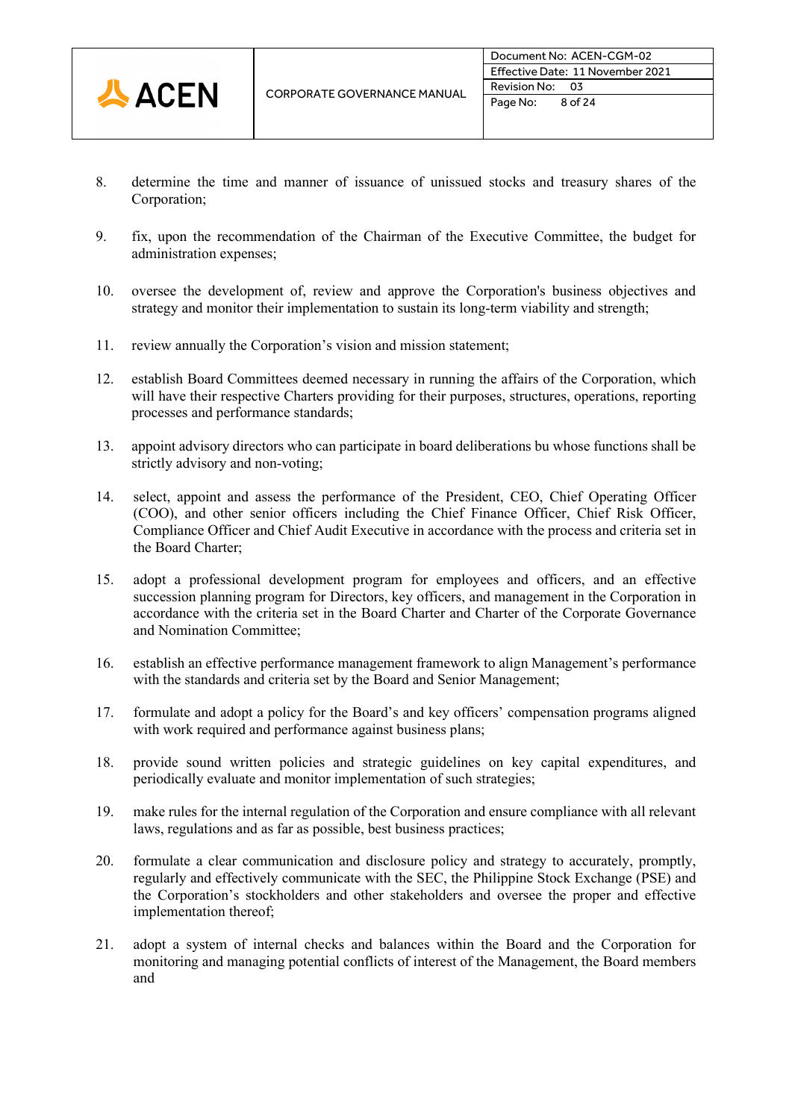

- 8. determine the time and manner of issuance of unissued stocks and treasury shares of the Corporation;
- 9. fix, upon the recommendation of the Chairman of the Executive Committee, the budget for administration expenses;
- 10. oversee the development of, review and approve the Corporation's business objectives and strategy and monitor their implementation to sustain its long-term viability and strength;
- 11. review annually the Corporation's vision and mission statement;
- 12. establish Board Committees deemed necessary in running the affairs of the Corporation, which will have their respective Charters providing for their purposes, structures, operations, reporting processes and performance standards;
- 13. appoint advisory directors who can participate in board deliberations bu whose functions shall be strictly advisory and non-voting;
- 14. select, appoint and assess the performance of the President, CEO, Chief Operating Officer (COO), and other senior officers including the Chief Finance Officer, Chief Risk Officer, Compliance Officer and Chief Audit Executive in accordance with the process and criteria set in the Board Charter;
- 15. adopt a professional development program for employees and officers, and an effective succession planning program for Directors, key officers, and management in the Corporation in accordance with the criteria set in the Board Charter and Charter of the Corporate Governance and Nomination Committee;
- 16. establish an effective performance management framework to align Management's performance with the standards and criteria set by the Board and Senior Management;
- 17. formulate and adopt a policy for the Board's and key officers' compensation programs aligned with work required and performance against business plans;
- 18. provide sound written policies and strategic guidelines on key capital expenditures, and periodically evaluate and monitor implementation of such strategies;
- 19. make rules for the internal regulation of the Corporation and ensure compliance with all relevant laws, regulations and as far as possible, best business practices;
- 20. formulate a clear communication and disclosure policy and strategy to accurately, promptly, regularly and effectively communicate with the SEC, the Philippine Stock Exchange (PSE) and the Corporation's stockholders and other stakeholders and oversee the proper and effective implementation thereof;
- 21. adopt a system of internal checks and balances within the Board and the Corporation for monitoring and managing potential conflicts of interest of the Management, the Board members and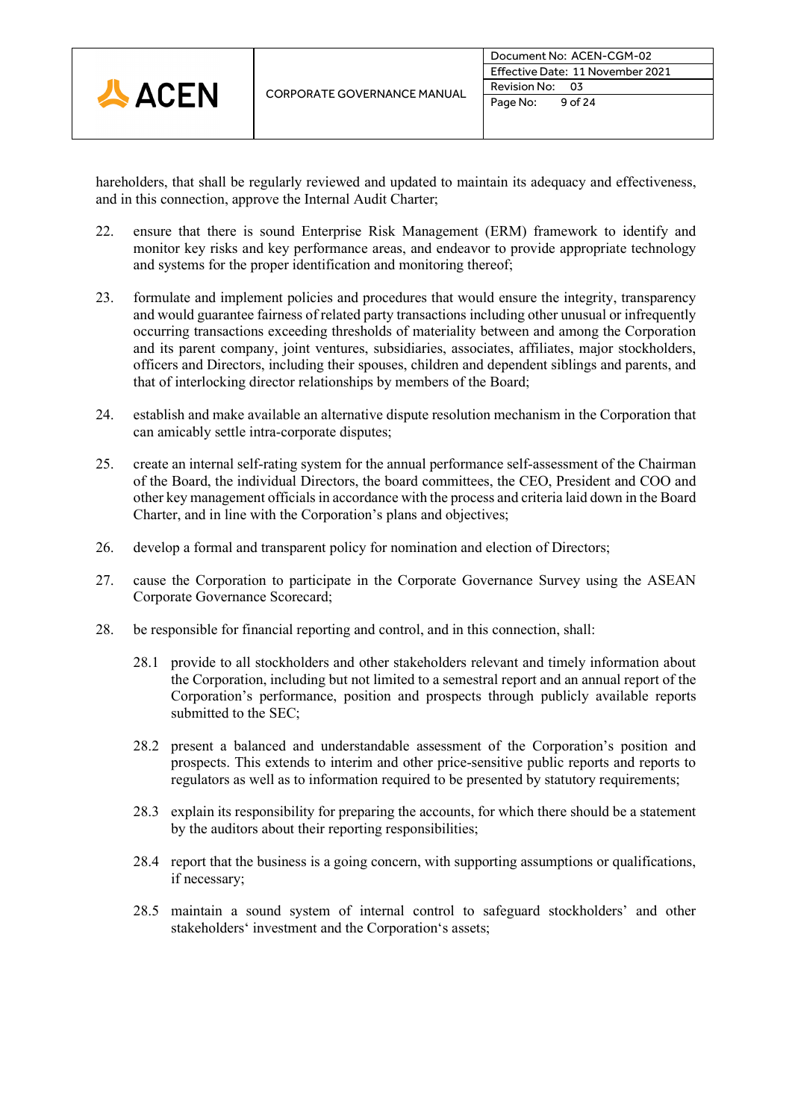

hareholders, that shall be regularly reviewed and updated to maintain its adequacy and effectiveness, and in this connection, approve the Internal Audit Charter;

- 22. ensure that there is sound Enterprise Risk Management (ERM) framework to identify and monitor key risks and key performance areas, and endeavor to provide appropriate technology and systems for the proper identification and monitoring thereof;
- 23. formulate and implement policies and procedures that would ensure the integrity, transparency and would guarantee fairness of related party transactions including other unusual or infrequently occurring transactions exceeding thresholds of materiality between and among the Corporation and its parent company, joint ventures, subsidiaries, associates, affiliates, major stockholders, officers and Directors, including their spouses, children and dependent siblings and parents, and that of interlocking director relationships by members of the Board;
- 24. establish and make available an alternative dispute resolution mechanism in the Corporation that can amicably settle intra-corporate disputes;
- 25. create an internal self-rating system for the annual performance self-assessment of the Chairman of the Board, the individual Directors, the board committees, the CEO, President and COO and other key management officials in accordance with the process and criteria laid down in the Board Charter, and in line with the Corporation's plans and objectives;
- 26. develop a formal and transparent policy for nomination and election of Directors;
- 27. cause the Corporation to participate in the Corporate Governance Survey using the ASEAN Corporate Governance Scorecard;
- 28. be responsible for financial reporting and control, and in this connection, shall:
	- 28.1 provide to all stockholders and other stakeholders relevant and timely information about the Corporation, including but not limited to a semestral report and an annual report of the Corporation's performance, position and prospects through publicly available reports submitted to the SEC;
	- 28.2 present a balanced and understandable assessment of the Corporation's position and prospects. This extends to interim and other price-sensitive public reports and reports to regulators as well as to information required to be presented by statutory requirements;
	- 28.3 explain its responsibility for preparing the accounts, for which there should be a statement by the auditors about their reporting responsibilities;
	- 28.4 report that the business is a going concern, with supporting assumptions or qualifications, if necessary;
	- 28.5 maintain a sound system of internal control to safeguard stockholders' and other stakeholders' investment and the Corporation's assets;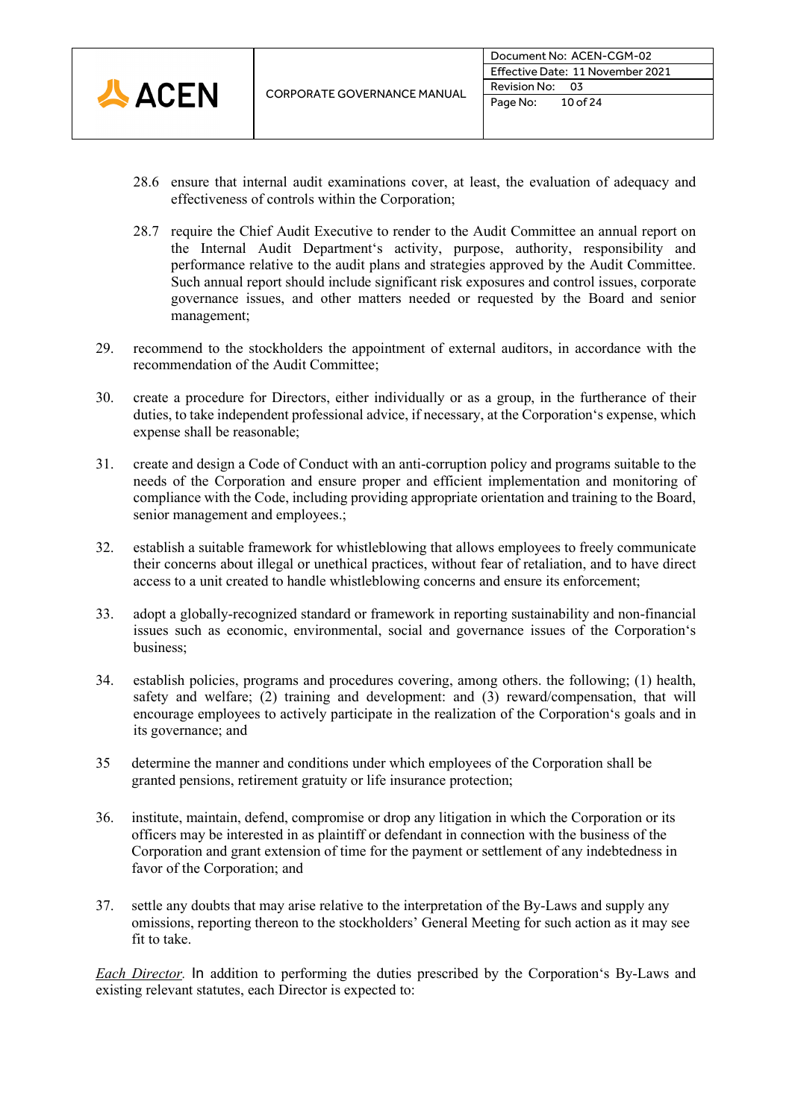

- 28.6 ensure that internal audit examinations cover, at least, the evaluation of adequacy and effectiveness of controls within the Corporation;
- 28.7 require the Chief Audit Executive to render to the Audit Committee an annual report on the Internal Audit Department's activity, purpose, authority, responsibility and performance relative to the audit plans and strategies approved by the Audit Committee. Such annual report should include significant risk exposures and control issues, corporate governance issues, and other matters needed or requested by the Board and senior management;
- 29. recommend to the stockholders the appointment of external auditors, in accordance with the recommendation of the Audit Committee;
- 30. create a procedure for Directors, either individually or as a group, in the furtherance of their duties, to take independent professional advice, if necessary, at the Corporation's expense, which expense shall be reasonable;
- 31. create and design a Code of Conduct with an anti-corruption policy and programs suitable to the needs of the Corporation and ensure proper and efficient implementation and monitoring of compliance with the Code, including providing appropriate orientation and training to the Board, senior management and employees.;
- 32. establish a suitable framework for whistleblowing that allows employees to freely communicate their concerns about illegal or unethical practices, without fear of retaliation, and to have direct access to a unit created to handle whistleblowing concerns and ensure its enforcement;
- 33. adopt a globally-recognized standard or framework in reporting sustainability and non-financial issues such as economic, environmental, social and governance issues of the Corporation's business;
- 34. establish policies, programs and procedures covering, among others. the following; (1) health, safety and welfare; (2) training and development: and (3) reward/compensation, that will encourage employees to actively participate in the realization of the Corporation's goals and in its governance; and
- 35 determine the manner and conditions under which employees of the Corporation shall be granted pensions, retirement gratuity or life insurance protection;
- 36. institute, maintain, defend, compromise or drop any litigation in which the Corporation or its officers may be interested in as plaintiff or defendant in connection with the business of the Corporation and grant extension of time for the payment or settlement of any indebtedness in favor of the Corporation; and
- 37. settle any doubts that may arise relative to the interpretation of the By-Laws and supply any omissions, reporting thereon to the stockholders' General Meeting for such action as it may see fit to take.

*Each Director.* In addition to performing the duties prescribed by the Corporation's By-Laws and existing relevant statutes, each Director is expected to: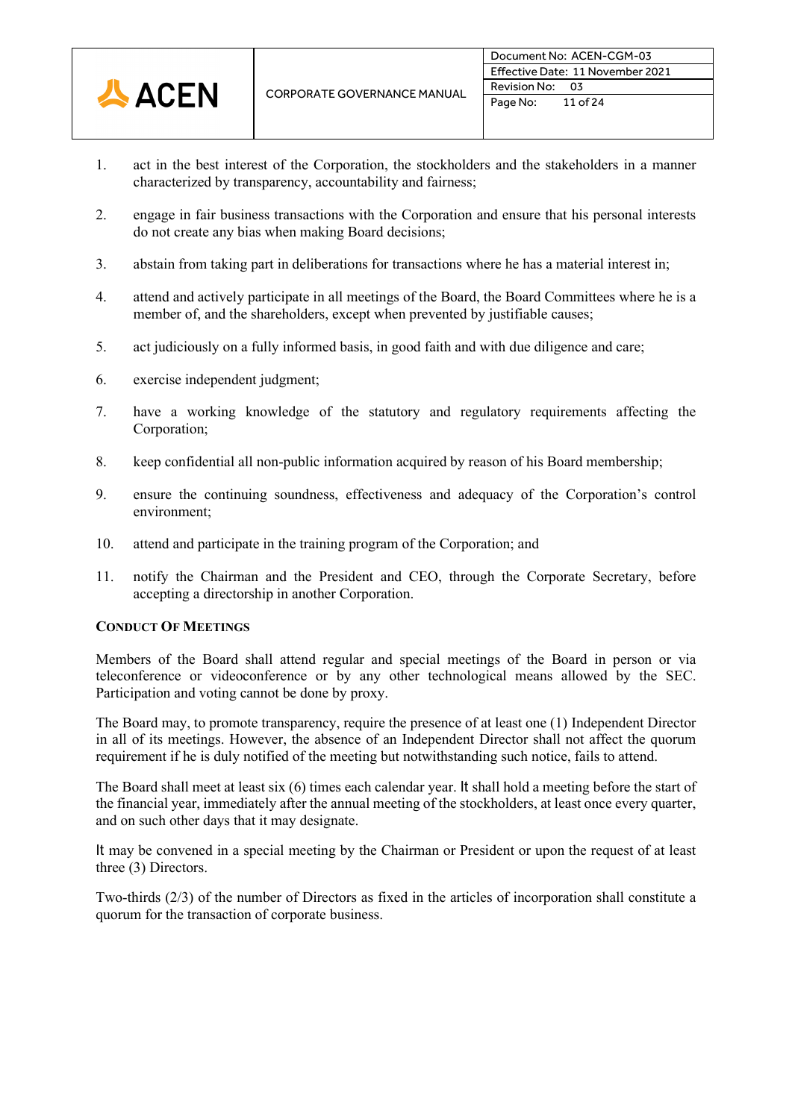

- 1. act in the best interest of the Corporation, the stockholders and the stakeholders in a manner characterized by transparency, accountability and fairness;
- 2. engage in fair business transactions with the Corporation and ensure that his personal interests do not create any bias when making Board decisions;
- 3. abstain from taking part in deliberations for transactions where he has a material interest in;
- 4. attend and actively participate in all meetings of the Board, the Board Committees where he is a member of, and the shareholders, except when prevented by justifiable causes;
- 5. act judiciously on a fully informed basis, in good faith and with due diligence and care;
- 6. exercise independent judgment;
- 7. have a working knowledge of the statutory and regulatory requirements affecting the Corporation;
- 8. keep confidential all non-public information acquired by reason of his Board membership;
- 9. ensure the continuing soundness, effectiveness and adequacy of the Corporation's control environment;
- 10. attend and participate in the training program of the Corporation; and
- 11. notify the Chairman and the President and CEO, through the Corporate Secretary, before accepting a directorship in another Corporation.

# **CONDUCT OF MEETINGS**

Members of the Board shall attend regular and special meetings of the Board in person or via teleconference or videoconference or by any other technological means allowed by the SEC. Participation and voting cannot be done by proxy.

The Board may, to promote transparency, require the presence of at least one (1) Independent Director in all of its meetings. However, the absence of an Independent Director shall not affect the quorum requirement if he is duly notified of the meeting but notwithstanding such notice, fails to attend.

The Board shall meet at least six (6) times each calendar year. It shall hold a meeting before the start of the financial year, immediately after the annual meeting of the stockholders, at least once every quarter, and on such other days that it may designate.

It may be convened in a special meeting by the Chairman or President or upon the request of at least three (3) Directors.

Two-thirds (2/3) of the number of Directors as fixed in the articles of incorporation shall constitute a quorum for the transaction of corporate business.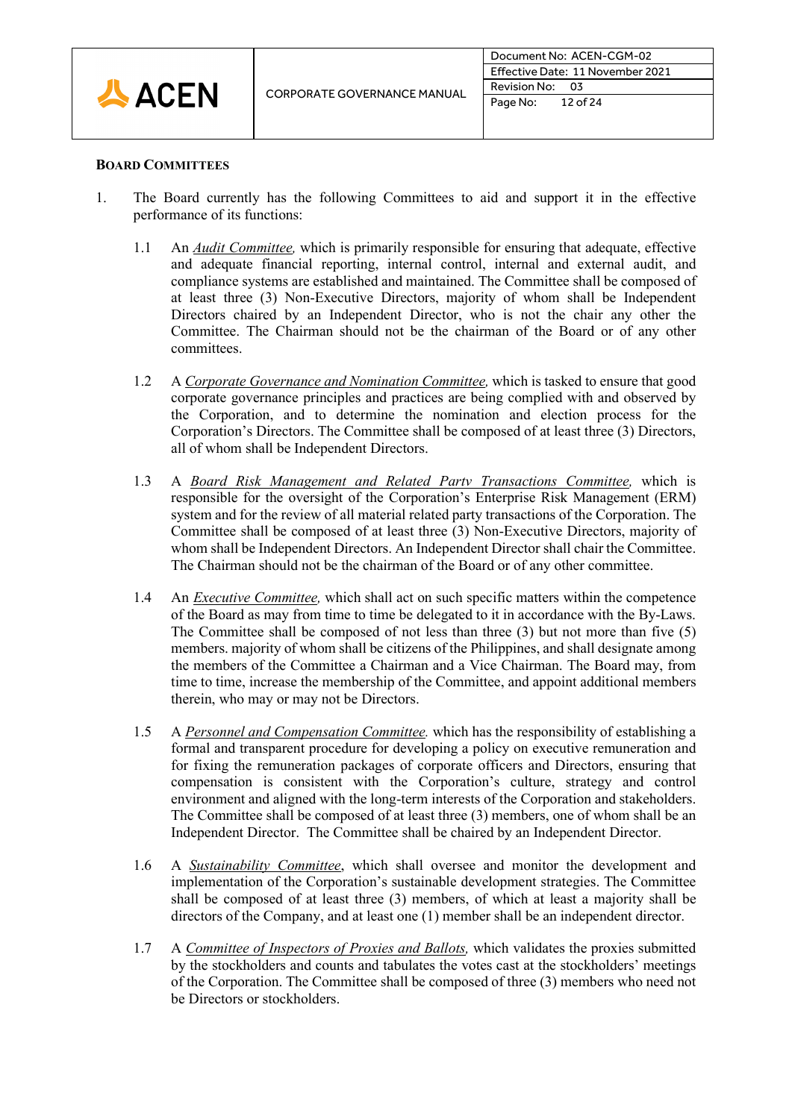

# **BOARD COMMITTEES**

- 1. The Board currently has the following Committees to aid and support it in the effective performance of its functions:
	- 1.1 An *Audit Committee,* which is primarily responsible for ensuring that adequate, effective and adequate financial reporting, internal control, internal and external audit, and compliance systems are established and maintained. The Committee shall be composed of at least three (3) Non-Executive Directors, majority of whom shall be Independent Directors chaired by an Independent Director, who is not the chair any other the Committee. The Chairman should not be the chairman of the Board or of any other committees.
	- 1.2 A *Corporate Governance and Nomination Committee,* which is tasked to ensure that good corporate governance principles and practices are being complied with and observed by the Corporation, and to determine the nomination and election process for the Corporation's Directors. The Committee shall be composed of at least three (3) Directors, all of whom shall be Independent Directors.
	- 1.3 A *Board Risk Management and Related Partv Transactions Committee,* which is responsible for the oversight of the Corporation's Enterprise Risk Management (ERM) system and for the review of all material related party transactions of the Corporation. The Committee shall be composed of at least three (3) Non-Executive Directors, majority of whom shall be Independent Directors. An Independent Director shall chair the Committee. The Chairman should not be the chairman of the Board or of any other committee.
	- 1.4 An *Executive Committee,* which shall act on such specific matters within the competence of the Board as may from time to time be delegated to it in accordance with the By-Laws. The Committee shall be composed of not less than three (3) but not more than five (5) members. majority of whom shall be citizens of the Philippines, and shall designate among the members of the Committee a Chairman and a Vice Chairman. The Board may, from time to time, increase the membership of the Committee, and appoint additional members therein, who may or may not be Directors.
	- 1.5 A *Personnel and Compensation Committee.* which has the responsibility of establishing a formal and transparent procedure for developing a policy on executive remuneration and for fixing the remuneration packages of corporate officers and Directors, ensuring that compensation is consistent with the Corporation's culture, strategy and control environment and aligned with the long-term interests of the Corporation and stakeholders. The Committee shall be composed of at least three (3) members, one of whom shall be an Independent Director. The Committee shall be chaired by an Independent Director.
	- 1.6 A *Sustainability Committee*, which shall oversee and monitor the development and implementation of the Corporation's sustainable development strategies. The Committee shall be composed of at least three (3) members, of which at least a majority shall be directors of the Company, and at least one (1) member shall be an independent director.
	- 1.7 A *Committee of Inspectors of Proxies and Ballots,* which validates the proxies submitted by the stockholders and counts and tabulates the votes cast at the stockholders' meetings of the Corporation. The Committee shall be composed of three (3) members who need not be Directors or stockholders.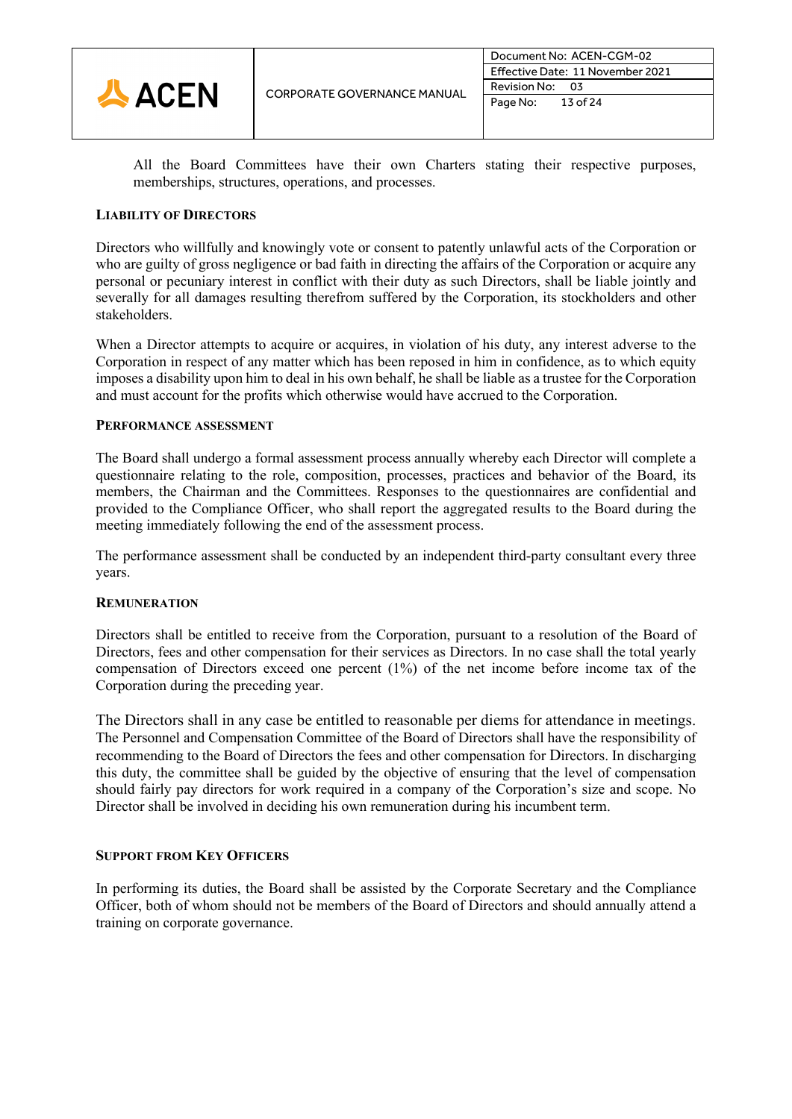

All the Board Committees have their own Charters stating their respective purposes, memberships, structures, operations, and processes.

# **LIABILITY OF DIRECTORS**

Directors who willfully and knowingly vote or consent to patently unlawful acts of the Corporation or who are guilty of gross negligence or bad faith in directing the affairs of the Corporation or acquire any personal or pecuniary interest in conflict with their duty as such Directors, shall be liable jointly and severally for all damages resulting therefrom suffered by the Corporation, its stockholders and other stakeholders.

When a Director attempts to acquire or acquires, in violation of his duty, any interest adverse to the Corporation in respect of any matter which has been reposed in him in confidence, as to which equity imposes a disability upon him to deal in his own behalf, he shall be liable as a trustee for the Corporation and must account for the profits which otherwise would have accrued to the Corporation.

# **PERFORMANCE ASSESSMENT**

The Board shall undergo a formal assessment process annually whereby each Director will complete a questionnaire relating to the role, composition, processes, practices and behavior of the Board, its members, the Chairman and the Committees. Responses to the questionnaires are confidential and provided to the Compliance Officer, who shall report the aggregated results to the Board during the meeting immediately following the end of the assessment process.

The performance assessment shall be conducted by an independent third-party consultant every three years.

# **REMUNERATION**

Directors shall be entitled to receive from the Corporation, pursuant to a resolution of the Board of Directors, fees and other compensation for their services as Directors. In no case shall the total yearly compensation of Directors exceed one percent (1%) of the net income before income tax of the Corporation during the preceding year.

The Directors shall in any case be entitled to reasonable per diems for attendance in meetings. The Personnel and Compensation Committee of the Board of Directors shall have the responsibility of recommending to the Board of Directors the fees and other compensation for Directors. In discharging this duty, the committee shall be guided by the objective of ensuring that the level of compensation should fairly pay directors for work required in a company of the Corporation's size and scope. No Director shall be involved in deciding his own remuneration during his incumbent term.

# **SUPPORT FROM KEY OFFICERS**

In performing its duties, the Board shall be assisted by the Corporate Secretary and the Compliance Officer, both of whom should not be members of the Board of Directors and should annually attend a training on corporate governance.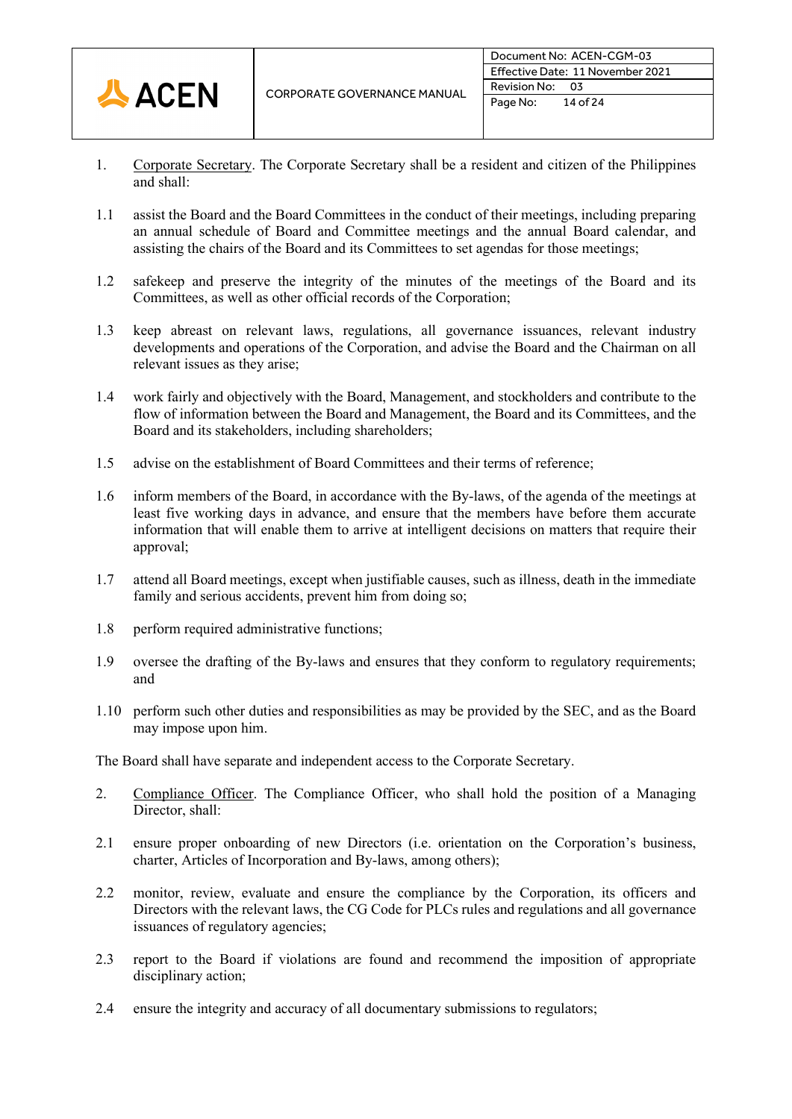

- 1. Corporate Secretary. The Corporate Secretary shall be a resident and citizen of the Philippines and shall:
- 1.1 assist the Board and the Board Committees in the conduct of their meetings, including preparing an annual schedule of Board and Committee meetings and the annual Board calendar, and assisting the chairs of the Board and its Committees to set agendas for those meetings;
- 1.2 safekeep and preserve the integrity of the minutes of the meetings of the Board and its Committees, as well as other official records of the Corporation;
- 1.3 keep abreast on relevant laws, regulations, all governance issuances, relevant industry developments and operations of the Corporation, and advise the Board and the Chairman on all relevant issues as they arise;
- 1.4 work fairly and objectively with the Board, Management, and stockholders and contribute to the flow of information between the Board and Management, the Board and its Committees, and the Board and its stakeholders, including shareholders;
- 1.5 advise on the establishment of Board Committees and their terms of reference;
- 1.6 inform members of the Board, in accordance with the By-laws, of the agenda of the meetings at least five working days in advance, and ensure that the members have before them accurate information that will enable them to arrive at intelligent decisions on matters that require their approval;
- 1.7 attend all Board meetings, except when justifiable causes, such as illness, death in the immediate family and serious accidents, prevent him from doing so;
- 1.8 perform required administrative functions;
- 1.9 oversee the drafting of the By-laws and ensures that they conform to regulatory requirements; and
- 1.10 perform such other duties and responsibilities as may be provided by the SEC, and as the Board may impose upon him.

The Board shall have separate and independent access to the Corporate Secretary.

- 2. Compliance Officer. The Compliance Officer, who shall hold the position of a Managing Director, shall:
- 2.1 ensure proper onboarding of new Directors (i.e. orientation on the Corporation's business, charter, Articles of Incorporation and By-laws, among others);
- 2.2 monitor, review, evaluate and ensure the compliance by the Corporation, its officers and Directors with the relevant laws, the CG Code for PLCs rules and regulations and all governance issuances of regulatory agencies;
- 2.3 report to the Board if violations are found and recommend the imposition of appropriate disciplinary action;
- 2.4 ensure the integrity and accuracy of all documentary submissions to regulators;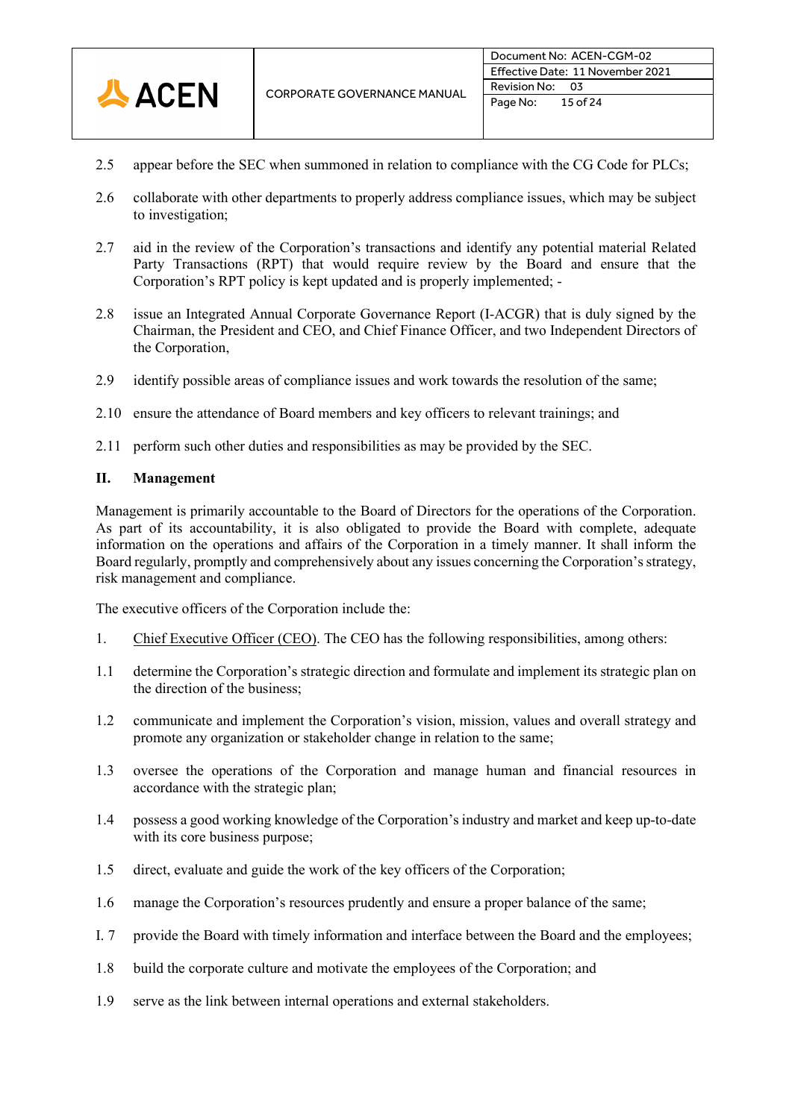

- 2.5 appear before the SEC when summoned in relation to compliance with the CG Code for PLCs;
- 2.6 collaborate with other departments to properly address compliance issues, which may be subject to investigation;
- 2.7 aid in the review of the Corporation's transactions and identify any potential material Related Party Transactions (RPT) that would require review by the Board and ensure that the Corporation's RPT policy is kept updated and is properly implemented; -
- 2.8 issue an Integrated Annual Corporate Governance Report (I-ACGR) that is duly signed by the Chairman, the President and CEO, and Chief Finance Officer, and two Independent Directors of the Corporation,
- 2.9 identify possible areas of compliance issues and work towards the resolution of the same;
- 2.10 ensure the attendance of Board members and key officers to relevant trainings; and
- 2.11 perform such other duties and responsibilities as may be provided by the SEC.

# **II. Management**

Management is primarily accountable to the Board of Directors for the operations of the Corporation. As part of its accountability, it is also obligated to provide the Board with complete, adequate information on the operations and affairs of the Corporation in a timely manner. It shall inform the Board regularly, promptly and comprehensively about any issues concerning the Corporation's strategy, risk management and compliance.

The executive officers of the Corporation include the:

- 1. Chief Executive Officer (CEO). The CEO has the following responsibilities, among others:
- 1.1 determine the Corporation's strategic direction and formulate and implement its strategic plan on the direction of the business;
- 1.2 communicate and implement the Corporation's vision, mission, values and overall strategy and promote any organization or stakeholder change in relation to the same;
- 1.3 oversee the operations of the Corporation and manage human and financial resources in accordance with the strategic plan;
- 1.4 possess a good working knowledge of the Corporation's industry and market and keep up-to-date with its core business purpose;
- 1.5 direct, evaluate and guide the work of the key officers of the Corporation;
- 1.6 manage the Corporation's resources prudently and ensure a proper balance of the same;
- I. 7 provide the Board with timely information and interface between the Board and the employees;
- 1.8 build the corporate culture and motivate the employees of the Corporation; and
- 1.9 serve as the link between internal operations and external stakeholders.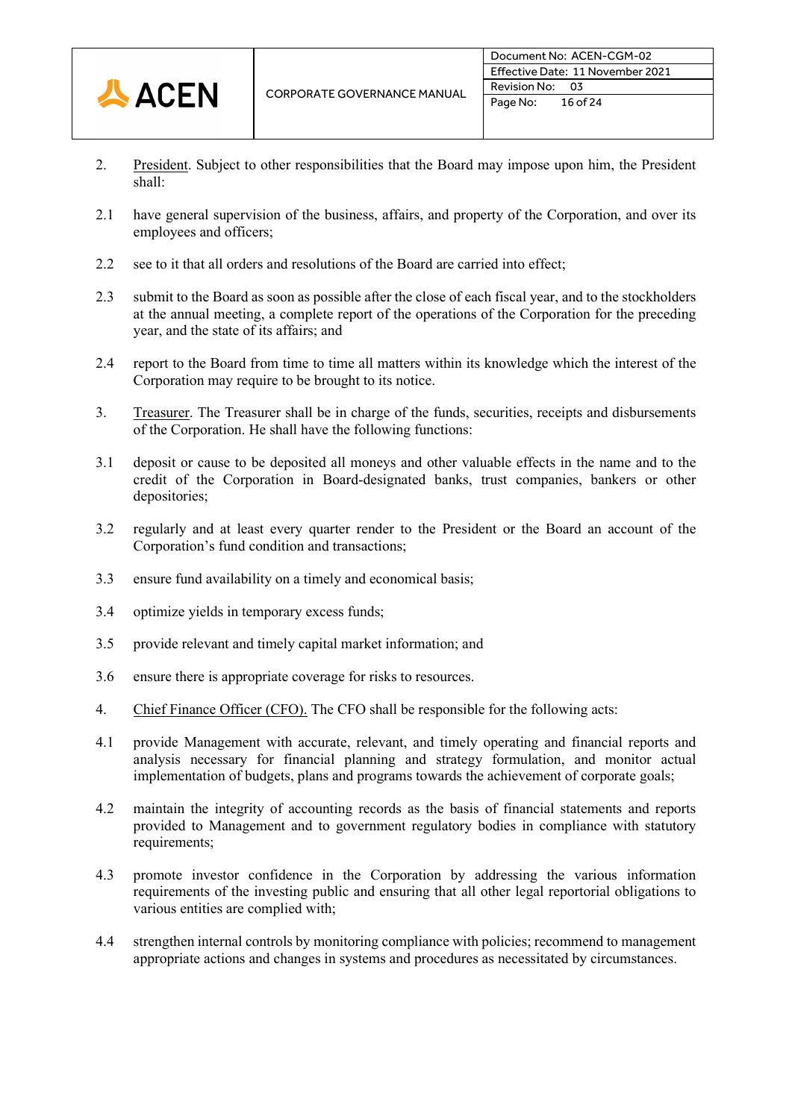

- 2. President. Subject to other responsibilities that the Board may impose upon him, the President shall:
- 2.1 have general supervision of the business, affairs, and property of the Corporation, and over its employees and officers;
- 2.2 see to it that all orders and resolutions of the Board are carried into effect;
- 2.3 submit to the Board as soon as possible after the close of each fiscal year, and to the stockholders at the annual meeting, a complete report of the operations of the Corporation for the preceding year, and the state of its affairs; and
- 2.4 report to the Board from time to time all matters within its knowledge which the interest of the Corporation may require to be brought to its notice.
- 3. Treasurer. The Treasurer shall be in charge of the funds, securities, receipts and disbursements of the Corporation. He shall have the following functions:
- 3.1 deposit or cause to be deposited all moneys and other valuable effects in the name and to the credit of the Corporation in Board-designated banks, trust companies, bankers or other depositories;
- 3.2 regularly and at least every quarter render to the President or the Board an account of the Corporation's fund condition and transactions;
- 3.3 ensure fund availability on a timely and economical basis;
- 3.4 optimize yields in temporary excess funds;
- 3.5 provide relevant and timely capital market information; and
- 3.6 ensure there is appropriate coverage for risks to resources.
- 4. Chief Finance Officer (CFO). The CFO shall be responsible for the following acts:
- 4.1 provide Management with accurate, relevant, and timely operating and financial reports and analysis necessary for financial planning and strategy formulation, and monitor actual implementation of budgets, plans and programs towards the achievement of corporate goals;
- 4.2 maintain the integrity of accounting records as the basis of financial statements and reports provided to Management and to government regulatory bodies in compliance with statutory requirements;
- 4.3 promote investor confidence in the Corporation by addressing the various information requirements of the investing public and ensuring that all other legal reportorial obligations to various entities are complied with;
- 4.4 strengthen internal controls by monitoring compliance with policies; recommend to management appropriate actions and changes in systems and procedures as necessitated by circumstances.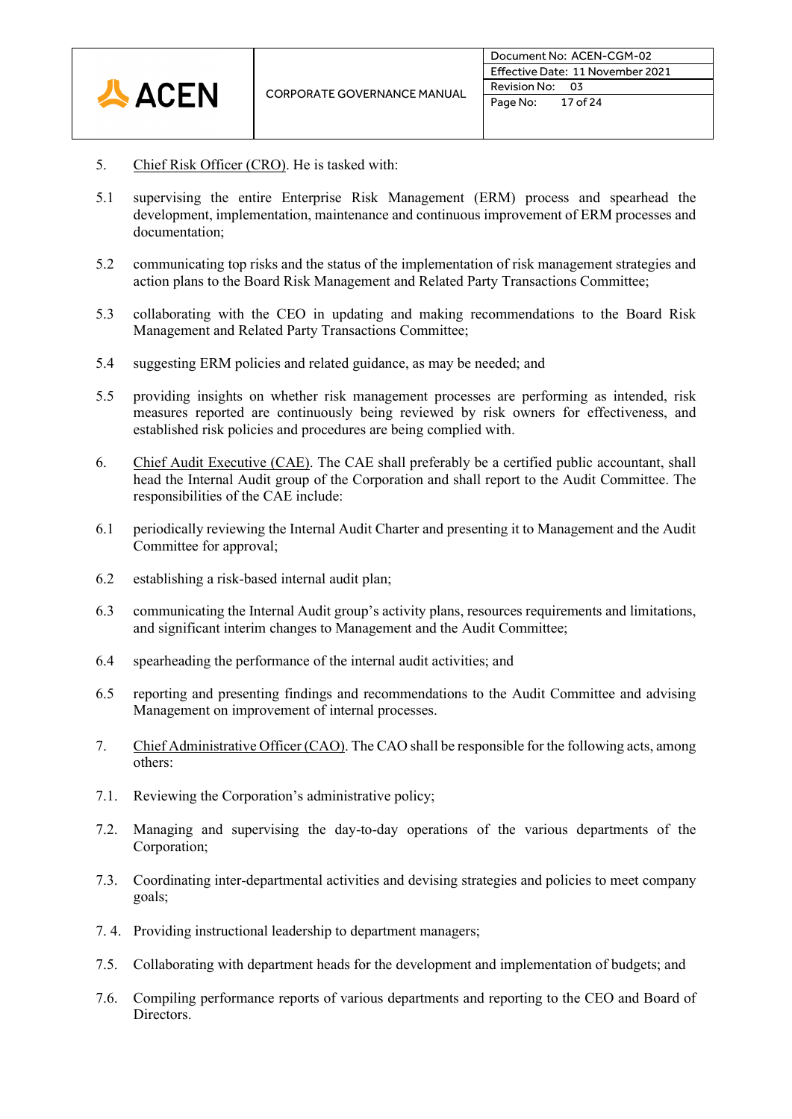

- 5. Chief Risk Officer (CRO). He is tasked with:
- 5.1 supervising the entire Enterprise Risk Management (ERM) process and spearhead the development, implementation, maintenance and continuous improvement of ERM processes and documentation;
- 5.2 communicating top risks and the status of the implementation of risk management strategies and action plans to the Board Risk Management and Related Party Transactions Committee;
- 5.3 collaborating with the CEO in updating and making recommendations to the Board Risk Management and Related Party Transactions Committee;
- 5.4 suggesting ERM policies and related guidance, as may be needed; and
- 5.5 providing insights on whether risk management processes are performing as intended, risk measures reported are continuously being reviewed by risk owners for effectiveness, and established risk policies and procedures are being complied with.
- 6. Chief Audit Executive (CAE). The CAE shall preferably be a certified public accountant, shall head the Internal Audit group of the Corporation and shall report to the Audit Committee. The responsibilities of the CAE include:
- 6.1 periodically reviewing the Internal Audit Charter and presenting it to Management and the Audit Committee for approval;
- 6.2 establishing a risk-based internal audit plan;
- 6.3 communicating the Internal Audit group's activity plans, resources requirements and limitations, and significant interim changes to Management and the Audit Committee;
- 6.4 spearheading the performance of the internal audit activities; and
- 6.5 reporting and presenting findings and recommendations to the Audit Committee and advising Management on improvement of internal processes.
- 7. Chief Administrative Officer (CAO). The CAO shall be responsible for the following acts, among others:
- 7.1. Reviewing the Corporation's administrative policy;
- 7.2. Managing and supervising the day-to-day operations of the various departments of the Corporation;
- 7.3. Coordinating inter-departmental activities and devising strategies and policies to meet company goals;
- 7. 4. Providing instructional leadership to department managers;
- 7.5. Collaborating with department heads for the development and implementation of budgets; and
- 7.6. Compiling performance reports of various departments and reporting to the CEO and Board of Directors.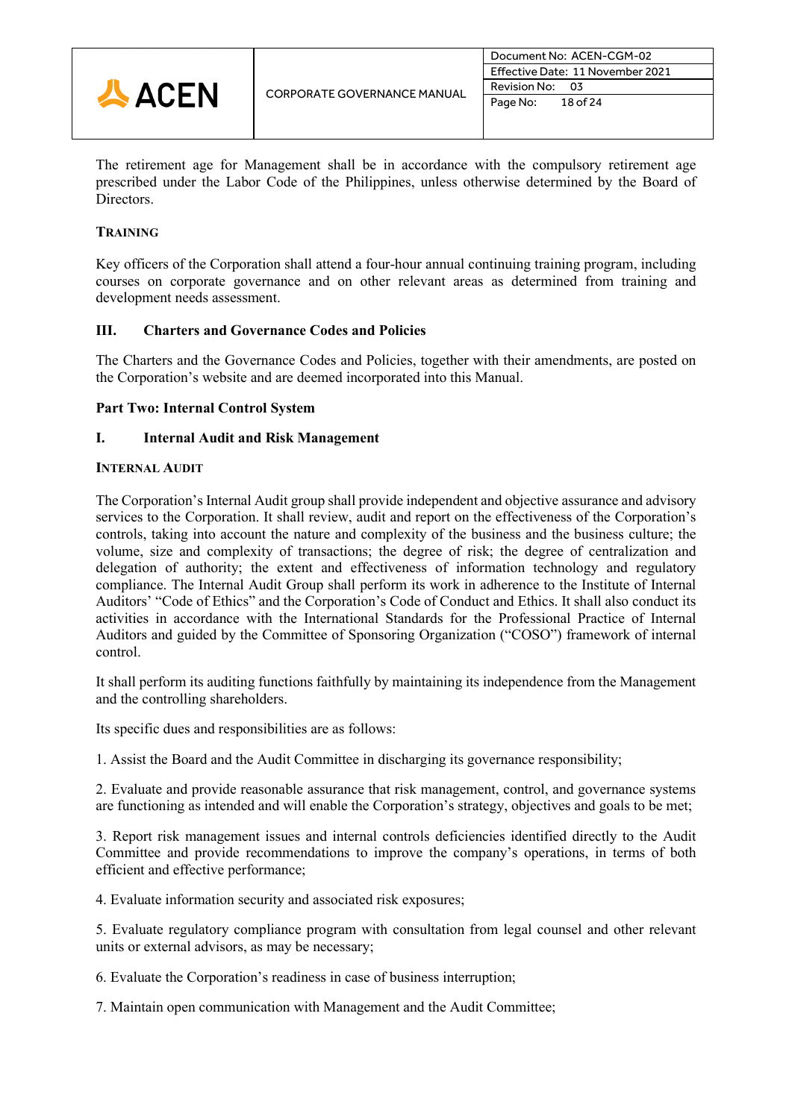

The retirement age for Management shall be in accordance with the compulsory retirement age prescribed under the Labor Code of the Philippines, unless otherwise determined by the Board of Directors.

# **TRAINING**

Key officers of the Corporation shall attend a four-hour annual continuing training program, including courses on corporate governance and on other relevant areas as determined from training and development needs assessment.

# **III. Charters and Governance Codes and Policies**

The Charters and the Governance Codes and Policies, together with their amendments, are posted on the Corporation's website and are deemed incorporated into this Manual.

# **Part Two: Internal Control System**

# **I. Internal Audit and Risk Management**

# **INTERNAL AUDIT**

The Corporation's Internal Audit group shall provide independent and objective assurance and advisory services to the Corporation. It shall review, audit and report on the effectiveness of the Corporation's controls, taking into account the nature and complexity of the business and the business culture; the volume, size and complexity of transactions; the degree of risk; the degree of centralization and delegation of authority; the extent and effectiveness of information technology and regulatory compliance. The Internal Audit Group shall perform its work in adherence to the Institute of Internal Auditors' "Code of Ethics" and the Corporation's Code of Conduct and Ethics. It shall also conduct its activities in accordance with the International Standards for the Professional Practice of Internal Auditors and guided by the Committee of Sponsoring Organization ("COSO") framework of internal control.

It shall perform its auditing functions faithfully by maintaining its independence from the Management and the controlling shareholders.

Its specific dues and responsibilities are as follows:

1. Assist the Board and the Audit Committee in discharging its governance responsibility;

2. Evaluate and provide reasonable assurance that risk management, control, and governance systems are functioning as intended and will enable the Corporation's strategy, objectives and goals to be met;

3. Report risk management issues and internal controls deficiencies identified directly to the Audit Committee and provide recommendations to improve the company's operations, in terms of both efficient and effective performance;

4. Evaluate information security and associated risk exposures;

5. Evaluate regulatory compliance program with consultation from legal counsel and other relevant units or external advisors, as may be necessary;

6. Evaluate the Corporation's readiness in case of business interruption;

7. Maintain open communication with Management and the Audit Committee;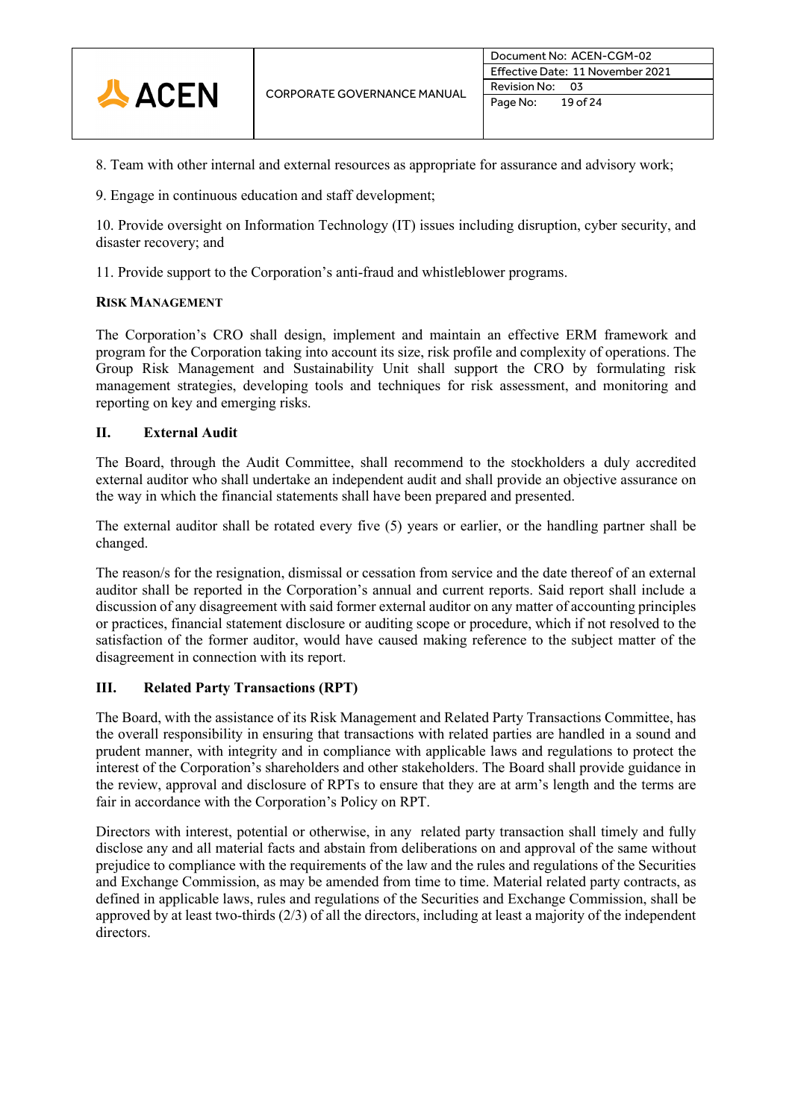

- 8. Team with other internal and external resources as appropriate for assurance and advisory work;
- 9. Engage in continuous education and staff development;

10. Provide oversight on Information Technology (IT) issues including disruption, cyber security, and disaster recovery; and

11. Provide support to the Corporation's anti-fraud and whistleblower programs.

# **RISK MANAGEMENT**

The Corporation's CRO shall design, implement and maintain an effective ERM framework and program for the Corporation taking into account its size, risk profile and complexity of operations. The Group Risk Management and Sustainability Unit shall support the CRO by formulating risk management strategies, developing tools and techniques for risk assessment, and monitoring and reporting on key and emerging risks.

# **II. External Audit**

The Board, through the Audit Committee, shall recommend to the stockholders a duly accredited external auditor who shall undertake an independent audit and shall provide an objective assurance on the way in which the financial statements shall have been prepared and presented.

The external auditor shall be rotated every five (5) years or earlier, or the handling partner shall be changed.

The reason/s for the resignation, dismissal or cessation from service and the date thereof of an external auditor shall be reported in the Corporation's annual and current reports. Said report shall include a discussion of any disagreement with said former external auditor on any matter of accounting principles or practices, financial statement disclosure or auditing scope or procedure, which if not resolved to the satisfaction of the former auditor, would have caused making reference to the subject matter of the disagreement in connection with its report.

# **III. Related Party Transactions (RPT)**

The Board, with the assistance of its Risk Management and Related Party Transactions Committee, has the overall responsibility in ensuring that transactions with related parties are handled in a sound and prudent manner, with integrity and in compliance with applicable laws and regulations to protect the interest of the Corporation's shareholders and other stakeholders. The Board shall provide guidance in the review, approval and disclosure of RPTs to ensure that they are at arm's length and the terms are fair in accordance with the Corporation's Policy on RPT.

Directors with interest, potential or otherwise, in any related party transaction shall timely and fully disclose any and all material facts and abstain from deliberations on and approval of the same without prejudice to compliance with the requirements of the law and the rules and regulations of the Securities and Exchange Commission, as may be amended from time to time. Material related party contracts, as defined in applicable laws, rules and regulations of the Securities and Exchange Commission, shall be approved by at least two-thirds (2/3) of all the directors, including at least a majority of the independent directors.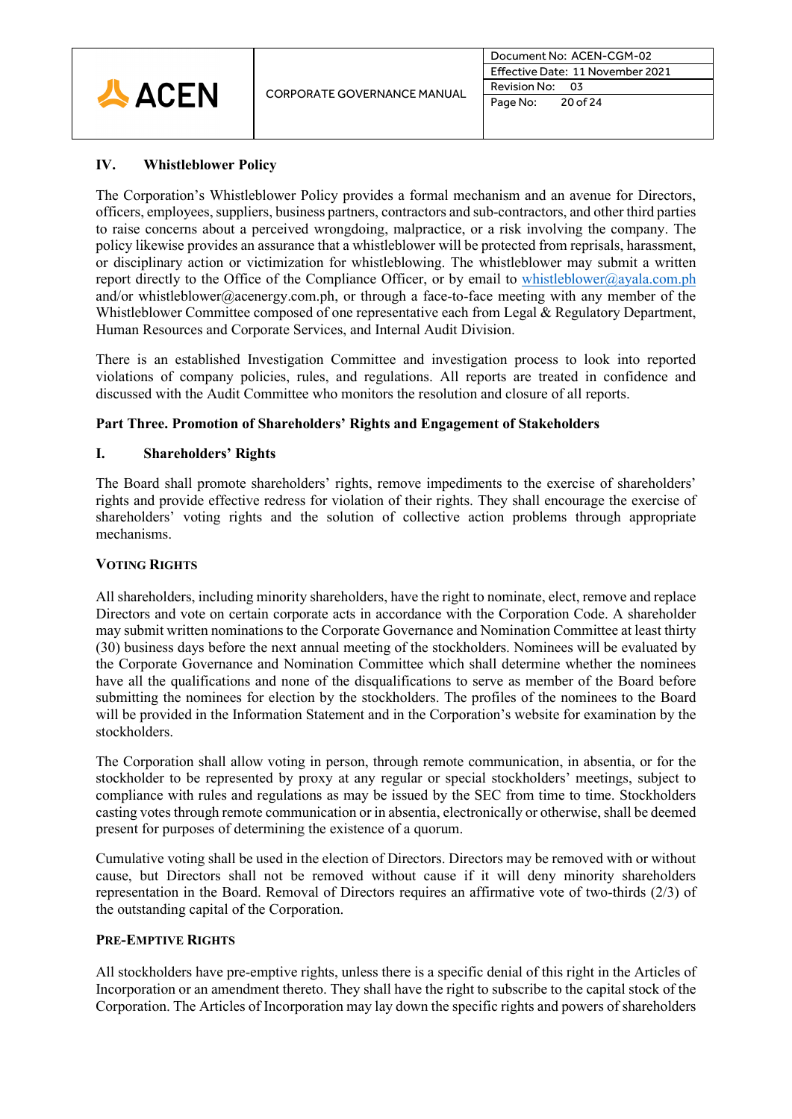

# **IV. Whistleblower Policy**

The Corporation's Whistleblower Policy provides a formal mechanism and an avenue for Directors, officers, employees, suppliers, business partners, contractors and sub-contractors, and other third parties to raise concerns about a perceived wrongdoing, malpractice, or a risk involving the company. The policy likewise provides an assurance that a whistleblower will be protected from reprisals, harassment, or disciplinary action or victimization for whistleblowing. The whistleblower may submit a written report directly to the Office of the Compliance Officer, or by email to [whistleblower@ayala.com.ph](mailto:whistleblower@ayala.com.ph) and/or whistleblower@acenergy.com.ph, or through a face-to-face meeting with any member of the Whistleblower Committee composed of one representative each from Legal & Regulatory Department, Human Resources and Corporate Services, and Internal Audit Division.

There is an established Investigation Committee and investigation process to look into reported violations of company policies, rules, and regulations. All reports are treated in confidence and discussed with the Audit Committee who monitors the resolution and closure of all reports.

# **Part Three. Promotion of Shareholders' Rights and Engagement of Stakeholders**

# **I. Shareholders' Rights**

The Board shall promote shareholders' rights, remove impediments to the exercise of shareholders' rights and provide effective redress for violation of their rights. They shall encourage the exercise of shareholders' voting rights and the solution of collective action problems through appropriate mechanisms.

# **VOTING RIGHTS**

All shareholders, including minority shareholders, have the right to nominate, elect, remove and replace Directors and vote on certain corporate acts in accordance with the Corporation Code. A shareholder may submit written nominations to the Corporate Governance and Nomination Committee at least thirty (30) business days before the next annual meeting of the stockholders. Nominees will be evaluated by the Corporate Governance and Nomination Committee which shall determine whether the nominees have all the qualifications and none of the disqualifications to serve as member of the Board before submitting the nominees for election by the stockholders. The profiles of the nominees to the Board will be provided in the Information Statement and in the Corporation's website for examination by the stockholders.

The Corporation shall allow voting in person, through remote communication, in absentia, or for the stockholder to be represented by proxy at any regular or special stockholders' meetings, subject to compliance with rules and regulations as may be issued by the SEC from time to time. Stockholders casting votes through remote communication or in absentia, electronically or otherwise, shall be deemed present for purposes of determining the existence of a quorum.

Cumulative voting shall be used in the election of Directors. Directors may be removed with or without cause, but Directors shall not be removed without cause if it will deny minority shareholders representation in the Board. Removal of Directors requires an affirmative vote of two-thirds (2/3) of the outstanding capital of the Corporation.

# **PRE-EMPTIVE RIGHTS**

All stockholders have pre-emptive rights, unless there is a specific denial of this right in the Articles of Incorporation or an amendment thereto. They shall have the right to subscribe to the capital stock of the Corporation. The Articles of Incorporation may lay down the specific rights and powers of shareholders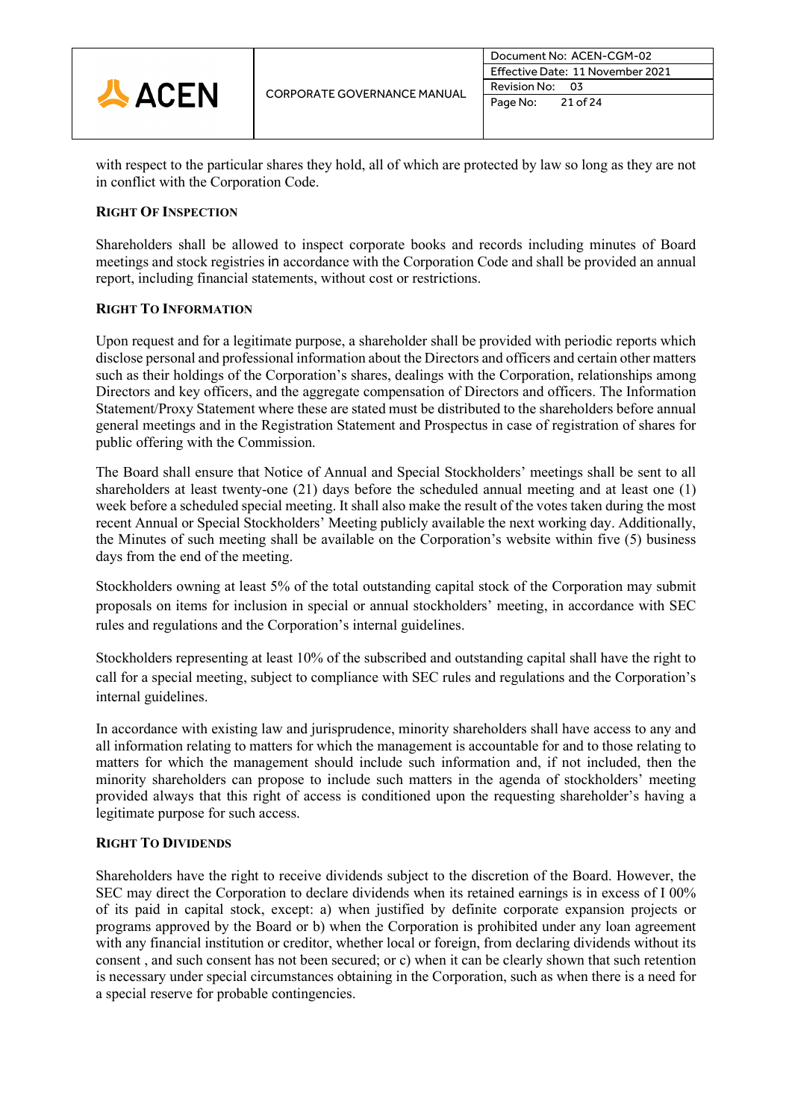

with respect to the particular shares they hold, all of which are protected by law so long as they are not in conflict with the Corporation Code.

# **RIGHT OF INSPECTION**

Shareholders shall be allowed to inspect corporate books and records including minutes of Board meetings and stock registries in accordance with the Corporation Code and shall be provided an annual report, including financial statements, without cost or restrictions.

# **RIGHT TO INFORMATION**

Upon request and for a legitimate purpose, a shareholder shall be provided with periodic reports which disclose personal and professional information about the Directors and officers and certain other matters such as their holdings of the Corporation's shares, dealings with the Corporation, relationships among Directors and key officers, and the aggregate compensation of Directors and officers. The Information Statement/Proxy Statement where these are stated must be distributed to the shareholders before annual general meetings and in the Registration Statement and Prospectus in case of registration of shares for public offering with the Commission.

The Board shall ensure that Notice of Annual and Special Stockholders' meetings shall be sent to all shareholders at least twenty-one (21) days before the scheduled annual meeting and at least one (1) week before a scheduled special meeting. It shall also make the result of the votes taken during the most recent Annual or Special Stockholders' Meeting publicly available the next working day. Additionally, the Minutes of such meeting shall be available on the Corporation's website within five (5) business days from the end of the meeting.

Stockholders owning at least 5% of the total outstanding capital stock of the Corporation may submit proposals on items for inclusion in special or annual stockholders' meeting, in accordance with SEC rules and regulations and the Corporation's internal guidelines.

Stockholders representing at least 10% of the subscribed and outstanding capital shall have the right to call for a special meeting, subject to compliance with SEC rules and regulations and the Corporation's internal guidelines.

In accordance with existing law and jurisprudence, minority shareholders shall have access to any and all information relating to matters for which the management is accountable for and to those relating to matters for which the management should include such information and, if not included, then the minority shareholders can propose to include such matters in the agenda of stockholders' meeting provided always that this right of access is conditioned upon the requesting shareholder's having a legitimate purpose for such access.

# **RIGHT TO DIVIDENDS**

Shareholders have the right to receive dividends subject to the discretion of the Board. However, the SEC may direct the Corporation to declare dividends when its retained earnings is in excess of I 00% of its paid in capital stock, except: a) when justified by definite corporate expansion projects or programs approved by the Board or b) when the Corporation is prohibited under any loan agreement with any financial institution or creditor, whether local or foreign, from declaring dividends without its consent , and such consent has not been secured; or c) when it can be clearly shown that such retention is necessary under special circumstances obtaining in the Corporation, such as when there is a need for a special reserve for probable contingencies.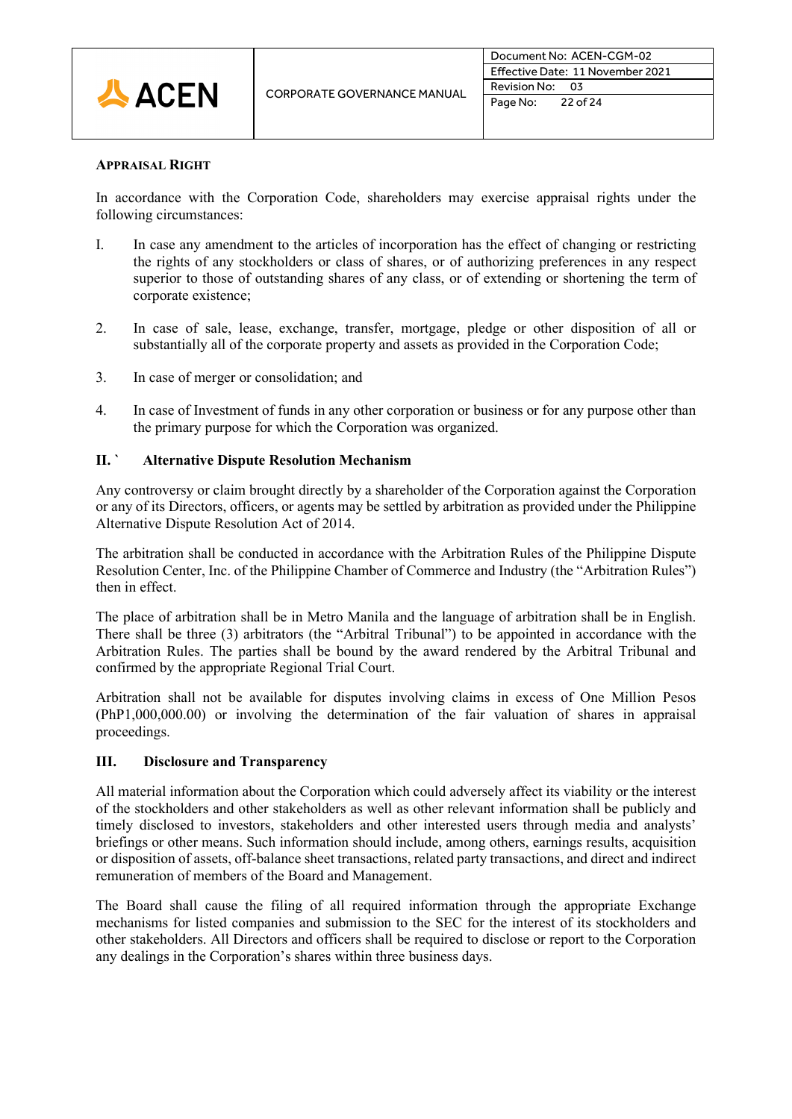

#### **APPRAISAL RIGHT**

In accordance with the Corporation Code, shareholders may exercise appraisal rights under the following circumstances:

- I. In case any amendment to the articles of incorporation has the effect of changing or restricting the rights of any stockholders or class of shares, or of authorizing preferences in any respect superior to those of outstanding shares of any class, or of extending or shortening the term of corporate existence;
- 2. In case of sale, lease, exchange, transfer, mortgage, pledge or other disposition of all or substantially all of the corporate property and assets as provided in the Corporation Code;
- 3. In case of merger or consolidation; and
- 4. In case of Investment of funds in any other corporation or business or for any purpose other than the primary purpose for which the Corporation was organized.

# **II. ` Alternative Dispute Resolution Mechanism**

Any controversy or claim brought directly by a shareholder of the Corporation against the Corporation or any of its Directors, officers, or agents may be settled by arbitration as provided under the Philippine Alternative Dispute Resolution Act of 2014.

The arbitration shall be conducted in accordance with the Arbitration Rules of the Philippine Dispute Resolution Center, Inc. of the Philippine Chamber of Commerce and Industry (the "Arbitration Rules") then in effect.

The place of arbitration shall be in Metro Manila and the language of arbitration shall be in English. There shall be three (3) arbitrators (the "Arbitral Tribunal") to be appointed in accordance with the Arbitration Rules. The parties shall be bound by the award rendered by the Arbitral Tribunal and confirmed by the appropriate Regional Trial Court.

Arbitration shall not be available for disputes involving claims in excess of One Million Pesos (PhP1,000,000.00) or involving the determination of the fair valuation of shares in appraisal proceedings.

# **III. Disclosure and Transparency**

All material information about the Corporation which could adversely affect its viability or the interest of the stockholders and other stakeholders as well as other relevant information shall be publicly and timely disclosed to investors, stakeholders and other interested users through media and analysts' briefings or other means. Such information should include, among others, earnings results, acquisition or disposition of assets, off-balance sheet transactions, related party transactions, and direct and indirect remuneration of members of the Board and Management.

The Board shall cause the filing of all required information through the appropriate Exchange mechanisms for listed companies and submission to the SEC for the interest of its stockholders and other stakeholders. All Directors and officers shall be required to disclose or report to the Corporation any dealings in the Corporation's shares within three business days.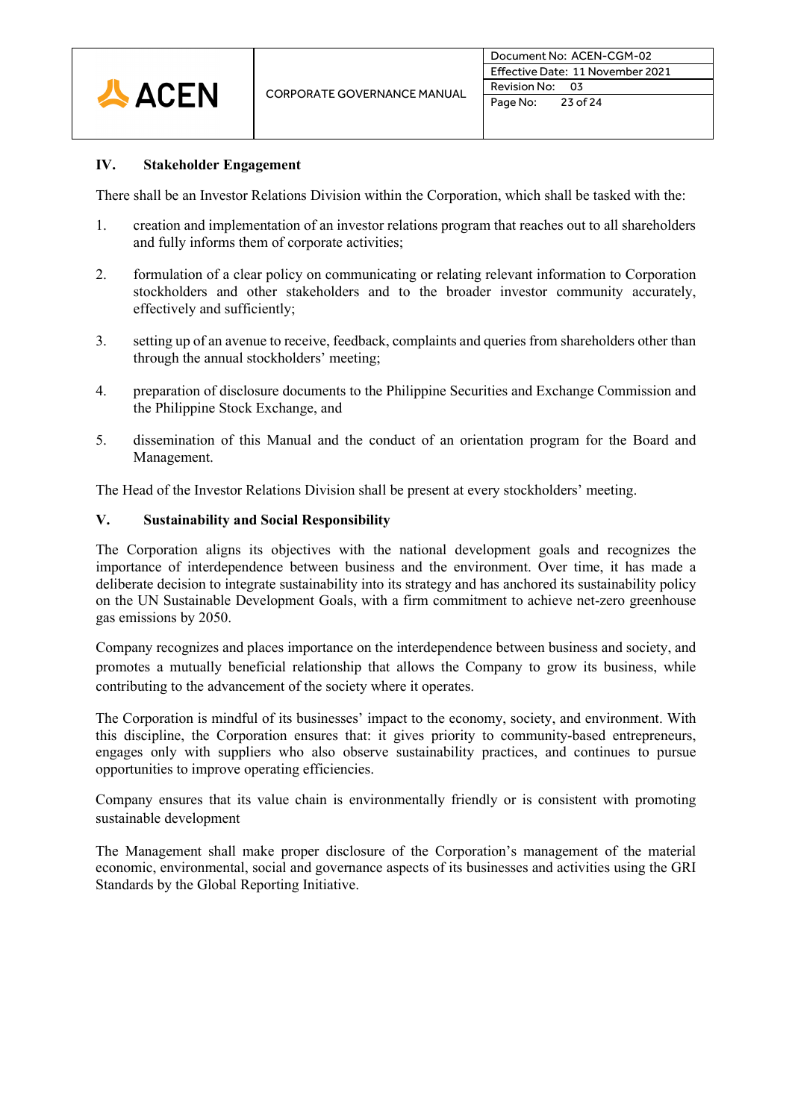

# **IV. Stakeholder Engagement**

There shall be an Investor Relations Division within the Corporation, which shall be tasked with the:

- 1. creation and implementation of an investor relations program that reaches out to all shareholders and fully informs them of corporate activities;
- 2. formulation of a clear policy on communicating or relating relevant information to Corporation stockholders and other stakeholders and to the broader investor community accurately, effectively and sufficiently;
- 3. setting up of an avenue to receive, feedback, complaints and queries from shareholders other than through the annual stockholders' meeting;
- 4. preparation of disclosure documents to the Philippine Securities and Exchange Commission and the Philippine Stock Exchange, and
- 5. dissemination of this Manual and the conduct of an orientation program for the Board and Management.

The Head of the Investor Relations Division shall be present at every stockholders' meeting.

# **V. Sustainability and Social Responsibility**

The Corporation aligns its objectives with the national development goals and recognizes the importance of interdependence between business and the environment. Over time, it has made a deliberate decision to integrate sustainability into its strategy and has anchored its sustainability policy on the UN Sustainable Development Goals, with a firm commitment to achieve net-zero greenhouse gas emissions by 2050.

Company recognizes and places importance on the interdependence between business and society, and promotes a mutually beneficial relationship that allows the Company to grow its business, while contributing to the advancement of the society where it operates.

The Corporation is mindful of its businesses' impact to the economy, society, and environment. With this discipline, the Corporation ensures that: it gives priority to community-based entrepreneurs, engages only with suppliers who also observe sustainability practices, and continues to pursue opportunities to improve operating efficiencies.

Company ensures that its value chain is environmentally friendly or is consistent with promoting sustainable development

The Management shall make proper disclosure of the Corporation's management of the material economic, environmental, social and governance aspects of its businesses and activities using the GRI Standards by the Global Reporting Initiative.